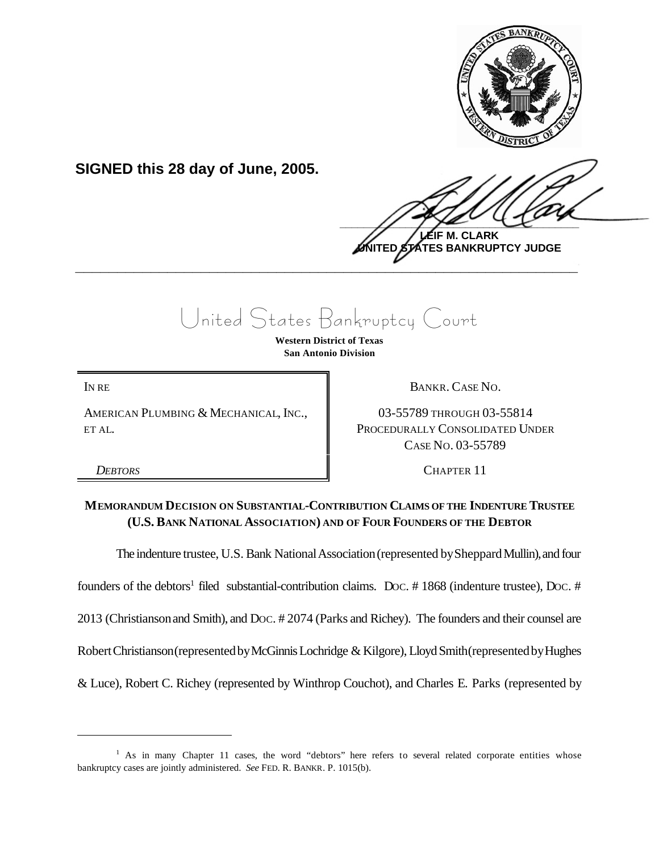

**SIGNED this 28 day of June, 2005.**

 $\frac{1}{2}$ 

**LEIF M. CLARK UNITED STATES BANKRUPTCY JUDGE \_\_\_\_\_\_\_\_\_\_\_\_\_\_\_\_\_\_\_\_\_\_\_\_\_\_\_\_\_\_\_\_\_\_\_\_\_\_\_\_\_\_\_\_\_\_\_\_\_\_\_\_\_\_\_\_\_\_\_\_**

United States Bankruptcy Court

**Western District of Texas San Antonio Division**

AMERICAN PLUMBING & MECHANICAL, INC., ET AL.

IN RE BANKR. CASE NO.

03-55789 THROUGH 03-55814 PROCEDURALLY CONSOLIDATED UNDER CASE NO. 03-55789

*DEBTORS* CHAPTER 11

# **MEMORANDUM DECISION ON SUBSTANTIAL-CONTRIBUTION CLAIMS OF THE INDENTURE TRUSTEE (U.S. BANK NATIONAL ASSOCIATION) AND OF FOUR FOUNDERS OF THE DEBTOR**

The indenture trustee, U.S. Bank National Association (represented by Sheppard Mullin), and four founders of the debtors<sup>1</sup> filed substantial-contribution claims. Doc. #1868 (indenture trustee), Doc. # 2013 (Christiansonand Smith), and DOC. # 2074 (Parks and Richey). The founders and their counsel are Robert Christianson (represented by McGinnis Lochridge & Kilgore), Lloyd Smith (represented by Hughes & Luce), Robert C. Richey (represented by Winthrop Couchot), and Charles E. Parks (represented by

<sup>&</sup>lt;sup>1</sup> As in many Chapter 11 cases, the word "debtors" here refers to several related corporate entities whose bankruptcy cases are jointly administered. *See* FED. R. BANKR. P. 1015(b).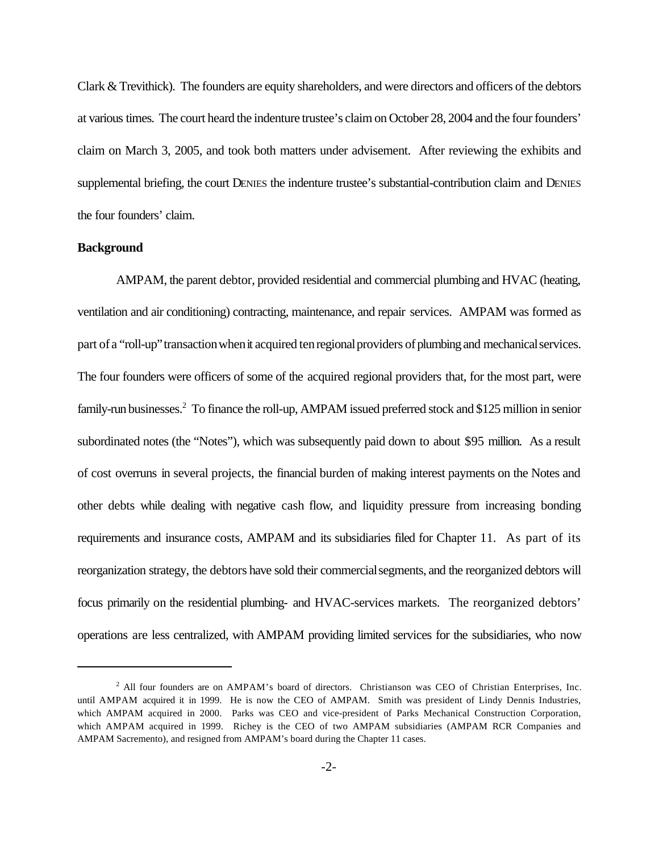Clark & Trevithick). The founders are equity shareholders, and were directors and officers of the debtors at various times. The court heard the indenture trustee's claim on October 28, 2004 and the four founders' claim on March 3, 2005, and took both matters under advisement. After reviewing the exhibits and supplemental briefing, the court DENIES the indenture trustee's substantial-contribution claim and DENIES the four founders' claim.

## **Background**

AMPAM, the parent debtor, provided residential and commercial plumbing and HVAC (heating, ventilation and air conditioning) contracting, maintenance, and repair services. AMPAM was formed as part of a "roll-up" transaction when it acquired ten regional providers of plumbing and mechanical services. The four founders were officers of some of the acquired regional providers that, for the most part, were family-run businesses.<sup>2</sup> To finance the roll-up, AMPAM issued preferred stock and \$125 million in senior subordinated notes (the "Notes"), which was subsequently paid down to about \$95 million. As a result of cost overruns in several projects, the financial burden of making interest payments on the Notes and other debts while dealing with negative cash flow, and liquidity pressure from increasing bonding requirements and insurance costs, AMPAM and its subsidiaries filed for Chapter 11. As part of its reorganization strategy, the debtors have sold their commercialsegments, and the reorganized debtors will focus primarily on the residential plumbing- and HVAC-services markets. The reorganized debtors' operations are less centralized, with AMPAM providing limited services for the subsidiaries, who now

<sup>&</sup>lt;sup>2</sup> All four founders are on AMPAM's board of directors. Christianson was CEO of Christian Enterprises, Inc. until AMPAM acquired it in 1999. He is now the CEO of AMPAM. Smith was president of Lindy Dennis Industries, which AMPAM acquired in 2000. Parks was CEO and vice-president of Parks Mechanical Construction Corporation, which AMPAM acquired in 1999. Richey is the CEO of two AMPAM subsidiaries (AMPAM RCR Companies and AMPAM Sacremento), and resigned from AMPAM's board during the Chapter 11 cases.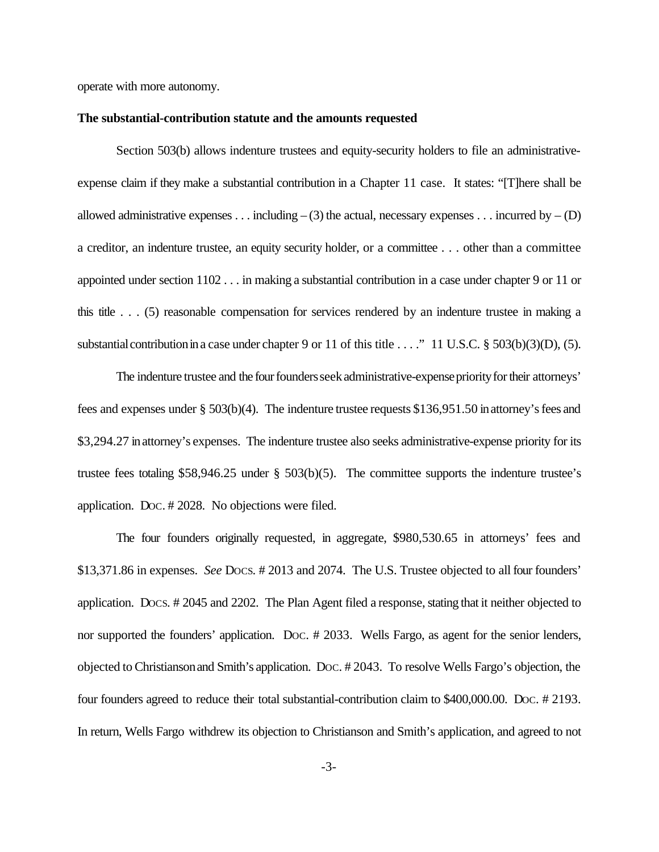operate with more autonomy.

#### **The substantial-contribution statute and the amounts requested**

Section 503(b) allows indenture trustees and equity-security holders to file an administrativeexpense claim if they make a substantial contribution in a Chapter 11 case. It states: "[T]here shall be allowed administrative expenses . . . including  $- (3)$  the actual, necessary expenses . . . incurred by  $- (D)$ a creditor, an indenture trustee, an equity security holder, or a committee . . . other than a committee appointed under section 1102 . . . in making a substantial contribution in a case under chapter 9 or 11 or this title . . . (5) reasonable compensation for services rendered by an indenture trustee in making a substantial contribution in a case under chapter 9 or 11 of this title . . . ." 11 U.S.C. § 503(b)(3)(D), (5).

The indenture trustee and the four founders seek administrative-expense priority for their attorneys' fees and expenses under § 503(b)(4). The indenture trustee requests \$136,951.50 in attorney's fees and \$3,294.27 in attorney's expenses. The indenture trustee also seeks administrative-expense priority for its trustee fees totaling \$58,946.25 under § 503(b)(5). The committee supports the indenture trustee's application. DOC. # 2028. No objections were filed.

The four founders originally requested, in aggregate, \$980,530.65 in attorneys' fees and \$13,371.86 in expenses. *See* DOCS. # 2013 and 2074. The U.S. Trustee objected to all four founders' application. Docs. #2045 and 2202. The Plan Agent filed a response, stating that it neither objected to nor supported the founders' application. DOC. # 2033. Wells Fargo, as agent for the senior lenders, objected to Christiansonand Smith's application. DOC. # 2043. To resolve Wells Fargo's objection, the four founders agreed to reduce their total substantial-contribution claim to \$400,000.00. Doc. #2193. In return, Wells Fargo withdrew its objection to Christianson and Smith's application, and agreed to not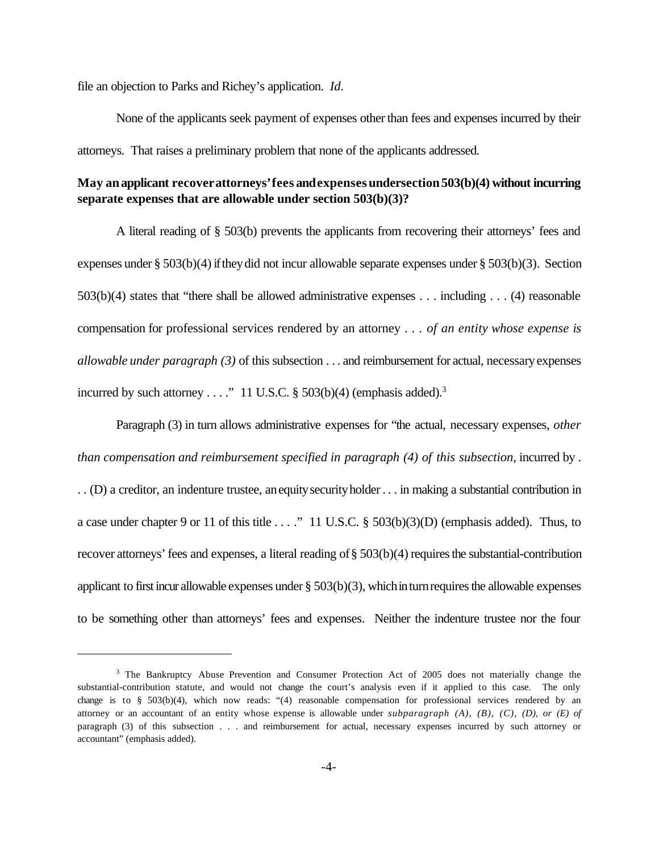file an objection to Parks and Richey's application. *Id*.

None of the applicants seek payment of expenses otherthan fees and expenses incurred by their attorneys. That raises a preliminary problem that none of the applicants addressed.

# **May anapplicant recoverattorneys'fees andexpenses undersection503(b)(4) without incurring separate expenses that are allowable under section 503(b)(3)?**

A literal reading of § 503(b) prevents the applicants from recovering their attorneys' fees and expenses under § 503(b)(4) iftheydid not incur allowable separate expenses under § 503(b)(3). Section 503(b)(4) states that "there shall be allowed administrative expenses . . . including . . . (4) reasonable compensation for professional services rendered by an attorney . . . *of an entity whose expense is allowable under paragraph (3)* of this subsection . . . and reimbursement for actual, necessaryexpenses incurred by such attorney . . . ." 11 U.S.C.  $\S$  503(b)(4) (emphasis added).<sup>3</sup>

Paragraph (3) in turn allows administrative expenses for "the actual, necessary expenses, *other than compensation and reimbursement specified in paragraph (4) of this subsection*, incurred by . . . (D) a creditor, an indenture trustee, anequitysecurityholder. . . in making a substantial contribution in a case under chapter 9 or 11 of this title . . . ." 11 U.S.C. § 503(b)(3)(D) (emphasis added). Thus, to recover attorneys' fees and expenses, a literal reading of  $\S 503(b)(4)$  requires the substantial-contribution applicant to first incur allowable expenses under  $\S 503(b)(3)$ , which in turn requires the allowable expenses to be something other than attorneys' fees and expenses. Neither the indenture trustee nor the four

<sup>&</sup>lt;sup>3</sup> The Bankruptcy Abuse Prevention and Consumer Protection Act of 2005 does not materially change the substantial-contribution statute, and would not change the court's analysis even if it applied to this case. The only change is to § 503(b)(4), which now reads: "(4) reasonable compensation for professional services rendered by an attorney or an accountant of an entity whose expense is allowable under *subparagraph (A), (B), (C), (D), or (E) of* paragraph (3) of this subsection . . . and reimbursement for actual, necessary expenses incurred by such attorney or accountant" (emphasis added).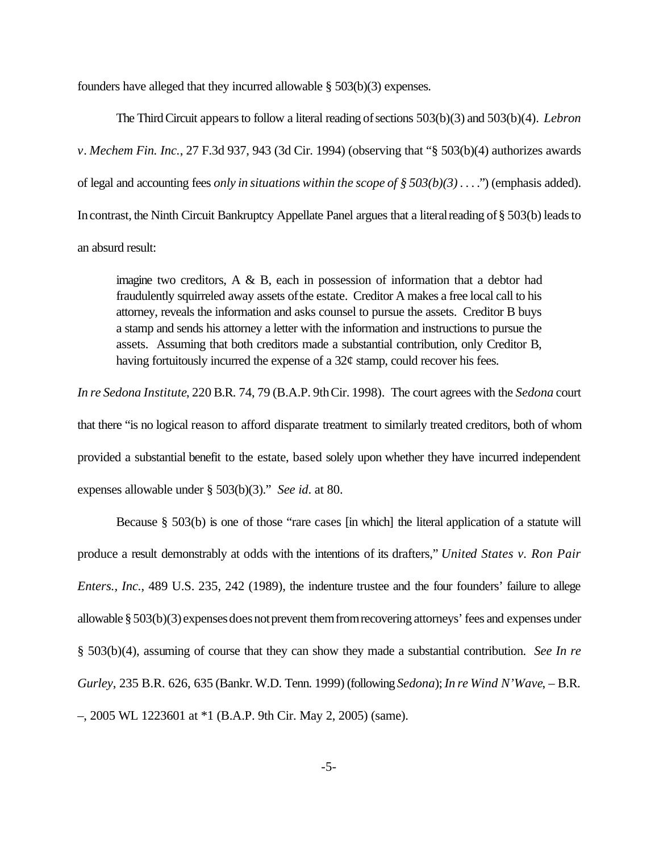founders have alleged that they incurred allowable § 503(b)(3) expenses.

The Third Circuit appears to follow a literal reading of sections 503(b)(3) and 503(b)(4). *Lebron v. Mechem Fin. Inc.*, 27 F.3d 937, 943 (3d Cir. 1994) (observing that "§ 503(b)(4) authorizes awards of legal and accounting fees *only in situations within the scope of § 503(b)(3)* . . . .") (emphasis added). In contrast, the Ninth Circuit Bankruptcy Appellate Panel argues that a literal reading of § 503(b) leads to an absurd result:

imagine two creditors,  $A \& B$ , each in possession of information that a debtor had fraudulently squirreled away assets of the estate. Creditor A makes a free local call to his attorney, reveals the information and asks counsel to pursue the assets. Creditor B buys a stamp and sends his attorney a letter with the information and instructions to pursue the assets. Assuming that both creditors made a substantial contribution, only Creditor B, having fortuitously incurred the expense of a  $32¢$  stamp, could recover his fees.

*In re Sedona Institute*, 220 B.R. 74, 79 (B.A.P. 9thCir. 1998). The court agrees with the *Sedona* court that there "is no logical reason to afford disparate treatment to similarly treated creditors, both of whom provided a substantial benefit to the estate, based solely upon whether they have incurred independent expenses allowable under § 503(b)(3)." *See id*. at 80.

Because § 503(b) is one of those "rare cases [in which] the literal application of a statute will produce a result demonstrably at odds with the intentions of its drafters," *United States v. Ron Pair Enters., Inc.*, 489 U.S. 235, 242 (1989), the indenture trustee and the four founders' failure to allege allowable § 503(b)(3) expenses does not prevent them from recovering attorneys' fees and expenses under § 503(b)(4), assuming of course that they can show they made a substantial contribution. *See In re Gurley*, 235 B.R. 626, 635 (Bankr. W.D. Tenn. 1999) (following *Sedona*);*In re Wind N'Wave*, – B.R. –, 2005 WL 1223601 at \*1 (B.A.P. 9th Cir. May 2, 2005) (same).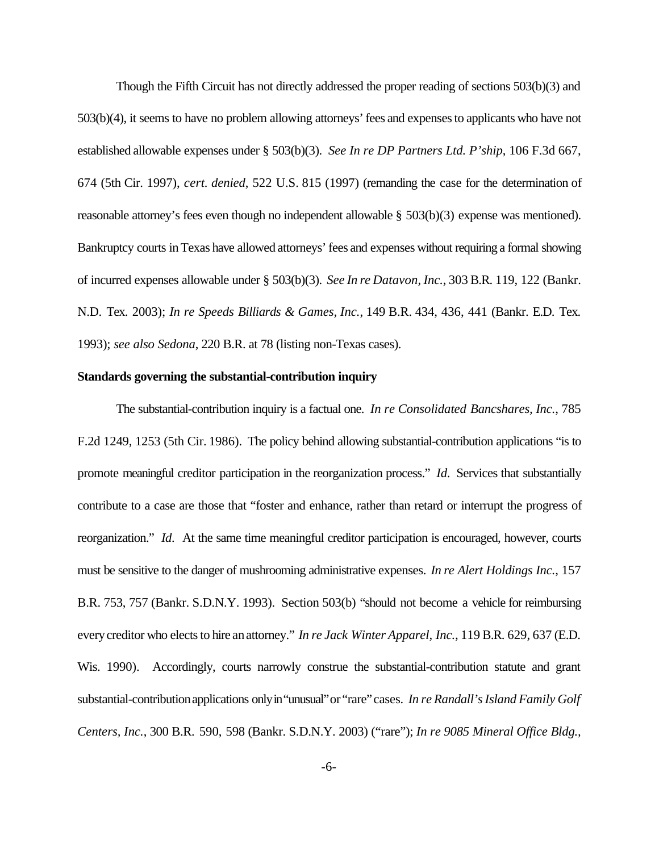Though the Fifth Circuit has not directly addressed the proper reading of sections 503(b)(3) and 503(b)(4), it seems to have no problem allowing attorneys'fees and expensesto applicants who have not established allowable expenses under § 503(b)(3). *See In re DP Partners Ltd. P'ship*, 106 F.3d 667, 674 (5th Cir. 1997), *cert. denied*, 522 U.S. 815 (1997) (remanding the case for the determination of reasonable attorney's fees even though no independent allowable § 503(b)(3) expense was mentioned). Bankruptcy courts in Texas have allowed attorneys' fees and expenses without requiring a formal showing of incurred expenses allowable under § 503(b)(3). *See In re Datavon, Inc.*, 303 B.R. 119, 122 (Bankr. N.D. Tex. 2003); *In re Speeds Billiards & Games, Inc.*, 149 B.R. 434, 436, 441 (Bankr. E.D. Tex. 1993); *see also Sedona*, 220 B.R. at 78 (listing non-Texas cases).

## **Standards governing the substantial-contribution inquiry**

The substantial-contribution inquiry is a factual one. *In re Consolidated Bancshares, Inc.*, 785 F.2d 1249, 1253 (5th Cir. 1986). The policy behind allowing substantial-contribution applications "is to promote meaningful creditor participation in the reorganization process." *Id*. Services that substantially contribute to a case are those that "foster and enhance, rather than retard or interrupt the progress of reorganization." *Id.* At the same time meaningful creditor participation is encouraged, however, courts must be sensitive to the danger of mushrooming administrative expenses. *In re Alert Holdings Inc.*, 157 B.R. 753, 757 (Bankr. S.D.N.Y. 1993). Section 503(b) "should not become a vehicle for reimbursing every creditor who elects to hire an attorney." *In re Jack Winter Apparel, Inc.*, 119 B.R. 629, 637 (E.D.) Wis. 1990). Accordingly, courts narrowly construe the substantial-contribution statute and grant substantial-contribution applications only in "unusual" or "rare" cases. *In re Randall's Island Family Golf Centers, Inc.*, 300 B.R. 590, 598 (Bankr. S.D.N.Y. 2003) ("rare"); *In re 9085 Mineral Office Bldg.,*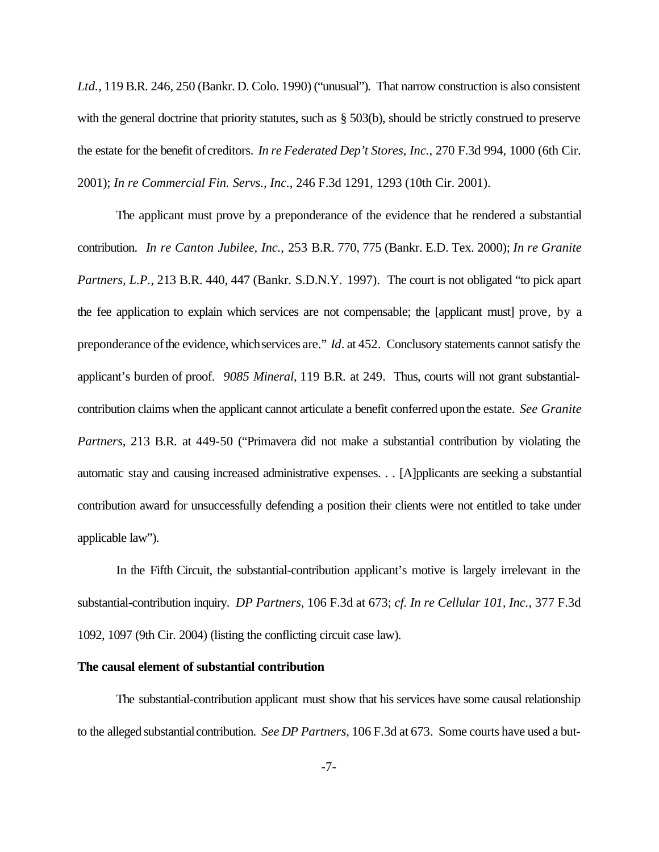*Ltd.*, 119 B.R. 246, 250 (Bankr. D. Colo. 1990) ("unusual"). That narrow construction is also consistent with the general doctrine that priority statutes, such as  $\S$  503(b), should be strictly construed to preserve the estate for the benefit of creditors. *In re Federated Dep't Stores, Inc.*, 270 F.3d 994, 1000 (6th Cir. 2001); *In re Commercial Fin. Servs., Inc.*, 246 F.3d 1291, 1293 (10th Cir. 2001).

The applicant must prove by a preponderance of the evidence that he rendered a substantial contribution. *In re Canton Jubilee, Inc.*, 253 B.R. 770, 775 (Bankr. E.D. Tex. 2000); *In re Granite Partners, L.P.*, 213 B.R. 440, 447 (Bankr. S.D.N.Y. 1997). The court is not obligated "to pick apart the fee application to explain which services are not compensable; the [applicant must] prove, by a preponderance of the evidence, which services are." *Id*. at 452. Conclusory statements cannot satisfy the applicant's burden of proof. *9085 Mineral*, 119 B.R. at 249. Thus, courts will not grant substantialcontribution claims when the applicant cannot articulate a benefit conferred uponthe estate. *See Granite Partners*, 213 B.R. at 449-50 ("Primavera did not make a substantial contribution by violating the automatic stay and causing increased administrative expenses. . . [A]pplicants are seeking a substantial contribution award for unsuccessfully defending a position their clients were not entitled to take under applicable law").

In the Fifth Circuit, the substantial-contribution applicant's motive is largely irrelevant in the substantial-contribution inquiry. *DP Partners*, 106 F.3d at 673; *cf. In re Cellular 101, Inc.*, 377 F.3d 1092, 1097 (9th Cir. 2004) (listing the conflicting circuit case law).

## **The causal element of substantial contribution**

The substantial-contribution applicant must show that his services have some causal relationship to the alleged substantialcontribution. *See DP Partners*, 106 F.3d at 673. Some courts have used a but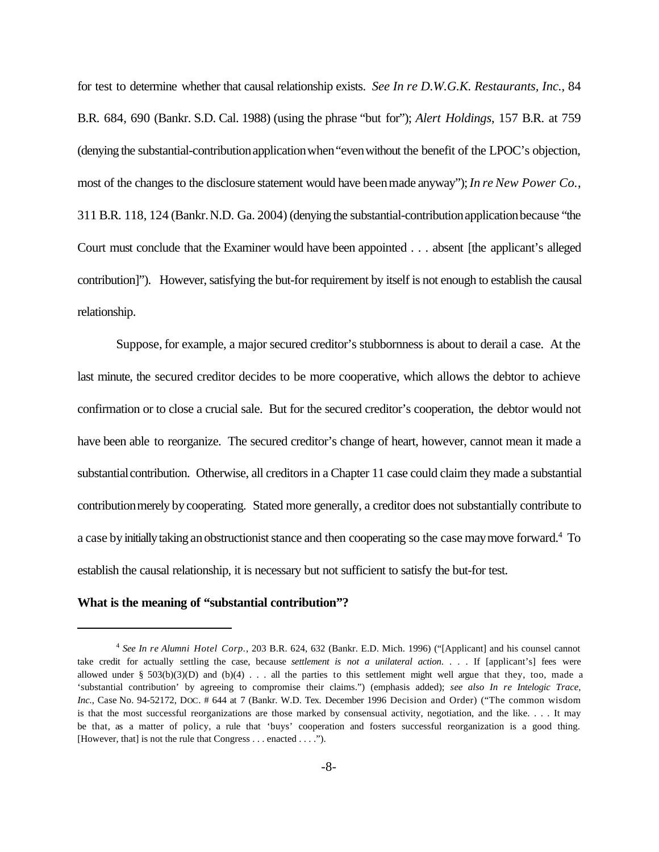for test to determine whether that causal relationship exists. *See In re D.W.G.K. Restaurants, Inc.*, 84 B.R. 684, 690 (Bankr. S.D. Cal. 1988) (using the phrase "but for"); *Alert Holdings*, 157 B.R. at 759 (denying the substantial-contributionapplicationwhen"evenwithout the benefit of the LPOC's objection, most of the changes to the disclosure statement would have beenmade anyway");*In re New Power Co.*, 311 B.R. 118, 124 (Bankr.N.D. Ga. 2004) (denying the substantial-contributionapplicationbecause "the Court must conclude that the Examiner would have been appointed . . . absent [the applicant's alleged contribution]"). However, satisfying the but-for requirement by itself is not enough to establish the causal relationship.

Suppose, for example, a major secured creditor's stubbornness is about to derail a case. At the last minute, the secured creditor decides to be more cooperative, which allows the debtor to achieve confirmation or to close a crucial sale. But for the secured creditor's cooperation, the debtor would not have been able to reorganize. The secured creditor's change of heart, however, cannot mean it made a substantial contribution. Otherwise, all creditors in a Chapter 11 case could claim they made a substantial contributionmerely bycooperating. Stated more generally, a creditor does not substantially contribute to a case by initially taking an obstructionist stance and then cooperating so the case may move forward.<sup>4</sup> To establish the causal relationship, it is necessary but not sufficient to satisfy the but-for test.

# **What is the meaning of "substantial contribution"?**

<sup>4</sup> *See In re Alumni Hotel Corp.*, 203 B.R. 624, 632 (Bankr. E.D. Mich. 1996) ("[Applicant] and his counsel cannot take credit for actually settling the case, because *settlement is not a unilateral action*. . . . If [applicant's] fees were allowed under §  $503(b)(3)(D)$  and  $(b)(4)$ ... all the parties to this settlement might well argue that they, too, made a 'substantial contribution' by agreeing to compromise their claims.") (emphasis added); *see also In re Intelogic Trace*, *Inc.*, Case No. 94-52172, DOC. # 644 at 7 (Bankr. W.D. Tex. December 1996 Decision and Order) ("The common wisdom is that the most successful reorganizations are those marked by consensual activity, negotiation, and the like. . . . It may be that, as a matter of policy, a rule that 'buys' cooperation and fosters successful reorganization is a good thing. [However, that] is not the rule that Congress . . . enacted . . . .").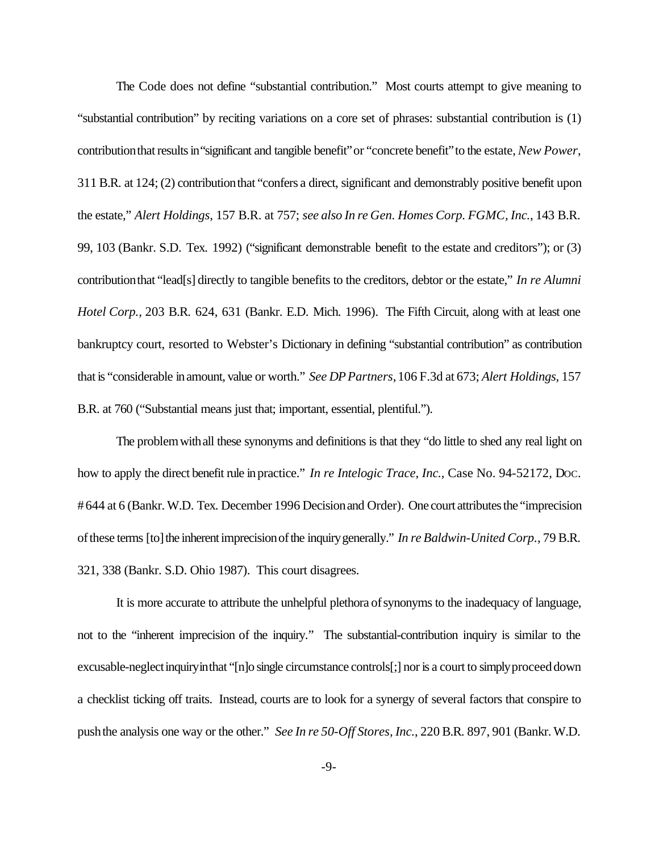The Code does not define "substantial contribution." Most courts attempt to give meaning to "substantial contribution" by reciting variations on a core set of phrases: substantial contribution is (1) contribution that results in "significant and tangible benefit" or "concrete benefit" to the estate, *New Power*, 311 B.R. at 124; (2) contributionthat "confers a direct, significant and demonstrably positive benefit upon the estate," *Alert Holdings*, 157 B.R. at 757; *see also In re Gen. Homes Corp. FGMC, Inc.*, 143 B.R. 99, 103 (Bankr. S.D. Tex. 1992) ("significant demonstrable benefit to the estate and creditors"); or (3) contributionthat "lead[s] directly to tangible benefits to the creditors, debtor or the estate," *In re Alumni Hotel Corp.*, 203 B.R. 624, 631 (Bankr. E.D. Mich. 1996). The Fifth Circuit, along with at least one bankruptcy court, resorted to Webster's Dictionary in defining "substantial contribution" as contribution that is "considerable inamount, value or worth." *See DPPartners*,106 F.3d at 673; *Alert Holdings*, 157 B.R. at 760 ("Substantial means just that; important, essential, plentiful.").

The problem with all these synonyms and definitions is that they "do little to shed any real light on how to apply the direct benefit rule inpractice." *In re Intelogic Trace*, *Inc.*, Case No. 94-52172, DOC. #644 at 6 (Bankr. W.D. Tex. December 1996 Decisionand Order). One court attributes the "imprecision ofthese terms [to]the inherentimprecisionofthe inquirygenerally." *In re Baldwin-United Corp.*, 79 B.R. 321, 338 (Bankr. S.D. Ohio 1987). This court disagrees.

It is more accurate to attribute the unhelpful plethora of synonyms to the inadequacy of language, not to the "inherent imprecision of the inquiry." The substantial-contribution inquiry is similar to the excusable-neglect inquiry in that "[n]o single circumstance controls[;] nor is a court to simply proceed down a checklist ticking off traits. Instead, courts are to look for a synergy of several factors that conspire to pushthe analysis one way or the other." *See In re 50-Off Stores, Inc.*, 220 B.R. 897, 901 (Bankr. W.D.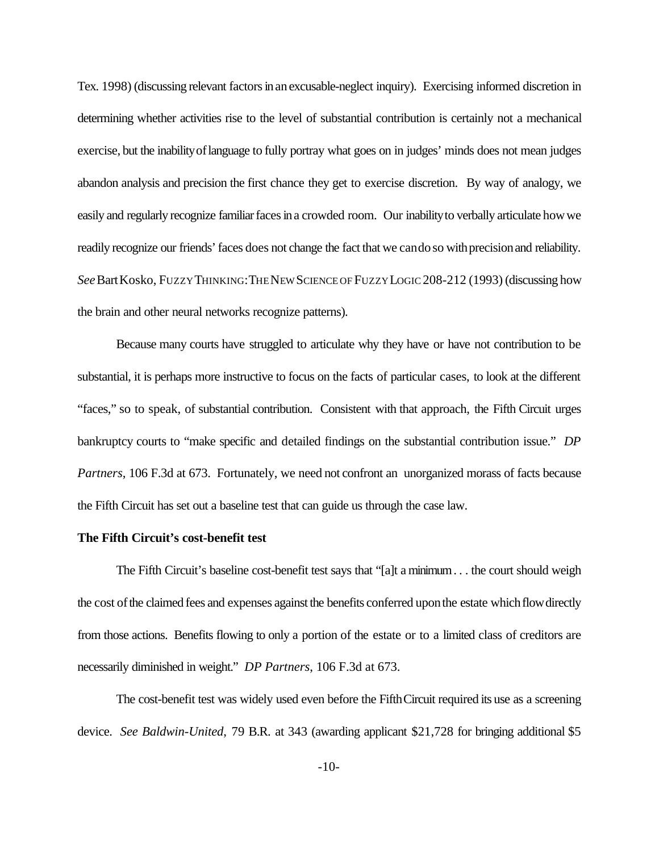Tex. 1998) (discussing relevant factors in an excusable-neglect inquiry). Exercising informed discretion in determining whether activities rise to the level of substantial contribution is certainly not a mechanical exercise, but the inability of language to fully portray what goes on in judges' minds does not mean judges abandon analysis and precision the first chance they get to exercise discretion. By way of analogy, we easily and regularly recognize familiar faces in a crowded room. Our inability to verbally articulate how we readily recognize our friends' faces does not change the fact that we can do so with precision and reliability. *See*BartKosko, FUZZYTHINKING:THENEWSCIENCE OF FUZZYLOGIC 208-212 (1993) (discussing how the brain and other neural networks recognize patterns).

Because many courts have struggled to articulate why they have or have not contribution to be substantial, it is perhaps more instructive to focus on the facts of particular cases, to look at the different "faces," so to speak, of substantial contribution. Consistent with that approach, the Fifth Circuit urges bankruptcy courts to "make specific and detailed findings on the substantial contribution issue." *DP Partners*, 106 F.3d at 673. Fortunately, we need not confront an unorganized morass of facts because the Fifth Circuit has set out a baseline test that can guide us through the case law.

## **The Fifth Circuit's cost-benefit test**

The Fifth Circuit's baseline cost-benefit test says that "[a]t a minimum. . . the court should weigh the cost of the claimed fees and expenses against the benefits conferred upon the estate which flow directly from those actions. Benefits flowing to only a portion of the estate or to a limited class of creditors are necessarily diminished in weight." *DP Partners*, 106 F.3d at 673.

The cost-benefit test was widely used even before the FifthCircuit required its use as a screening device. *See Baldwin-United*, 79 B.R. at 343 (awarding applicant \$21,728 for bringing additional \$5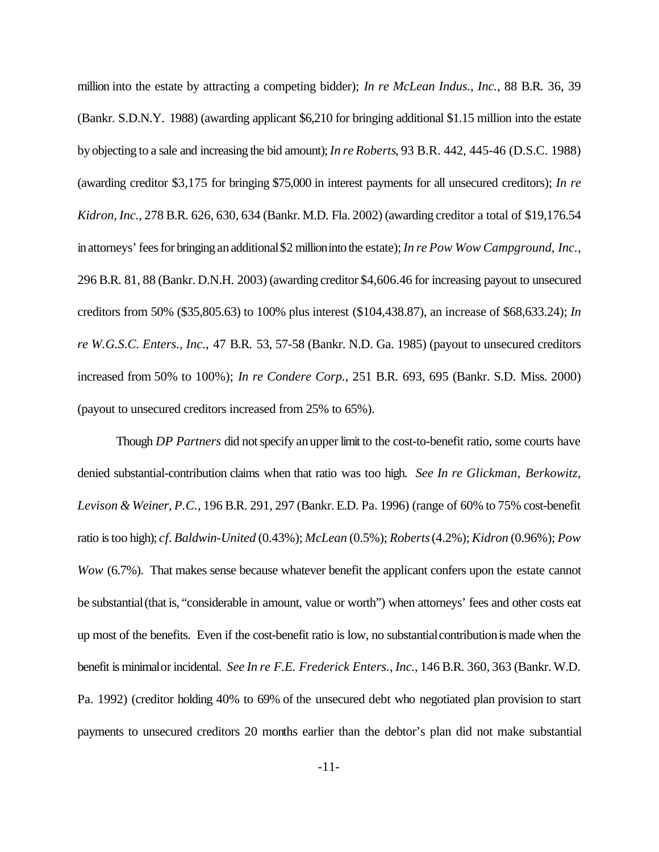million into the estate by attracting a competing bidder); *In re McLean Indus., Inc.*, 88 B.R. 36, 39 (Bankr. S.D.N.Y. 1988) (awarding applicant \$6,210 for bringing additional \$1.15 million into the estate byobjecting to a sale and increasing the bid amount);*In re Roberts*, 93 B.R. 442, 445-46 (D.S.C. 1988) (awarding creditor \$3,175 for bringing \$75,000 in interest payments for all unsecured creditors); *In re Kidron, Inc.*, 278 B.R. 626, 630, 634 (Bankr. M.D. Fla. 2002) (awarding creditor a total of \$19,176.54 in attorneys' fees for bringing an additional \$2 million into the estate); *In re Pow Wow Campground, Inc.*, 296 B.R. 81, 88 (Bankr. D.N.H. 2003) (awarding creditor \$4,606.46 for increasing payout to unsecured creditors from 50% (\$35,805.63) to 100% plus interest (\$104,438.87), an increase of \$68,633.24); *In re W.G.S.C. Enters., Inc.*, 47 B.R. 53, 57-58 (Bankr. N.D. Ga. 1985) (payout to unsecured creditors increased from 50% to 100%); *In re Condere Corp.*, 251 B.R. 693, 695 (Bankr. S.D. Miss. 2000) (payout to unsecured creditors increased from 25% to 65%).

Though *DP Partners* did not specify an upper limit to the cost-to-benefit ratio, some courts have denied substantial-contribution claims when that ratio was too high. *See In re Glickman, Berkowitz, Levison & Weiner, P.C.*, 196 B.R. 291, 297 (Bankr. E.D. Pa. 1996) (range of 60% to 75% cost-benefit ratio istoo high); *cf. Baldwin-United* (0.43%); *McLean* (0.5%); *Roberts*(4.2%); *Kidron* (0.96%); *Pow Wow* (6.7%). That makes sense because whatever benefit the applicant confers upon the estate cannot be substantial(that is, "considerable in amount, value or worth") when attorneys' fees and other costs eat up most of the benefits. Even if the cost-benefit ratio is low, no substantialcontributionis made when the benefit is minimalor incidental. *See In re F.E. Frederick Enters., Inc.*, 146 B.R. 360, 363 (Bankr. W.D. Pa. 1992) (creditor holding 40% to 69% of the unsecured debt who negotiated plan provision to start payments to unsecured creditors 20 months earlier than the debtor's plan did not make substantial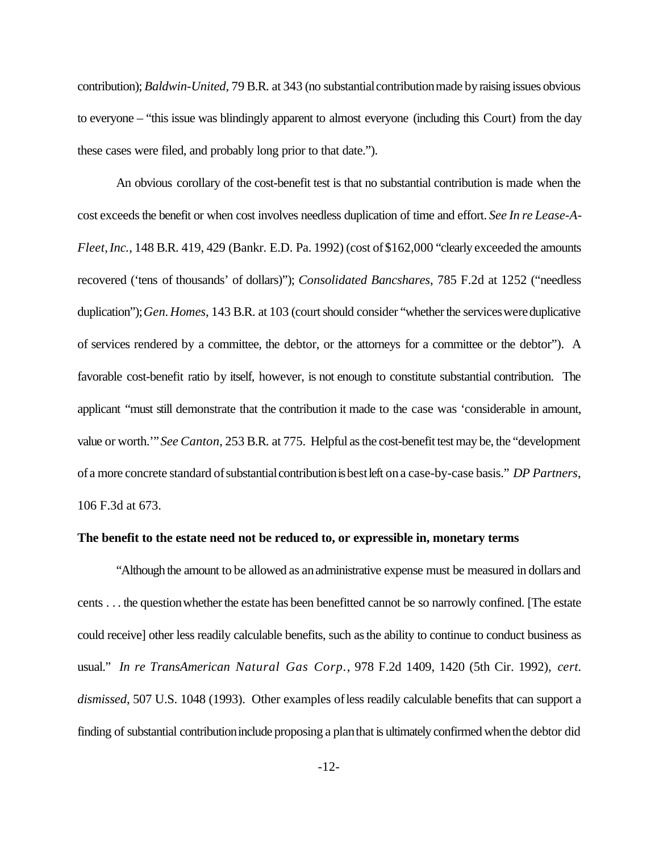contribution); *Baldwin-United*, 79 B.R. at 343 (no substantial contribution made by raising issues obvious to everyone – "this issue was blindingly apparent to almost everyone (including this Court) from the day these cases were filed, and probably long prior to that date.").

An obvious corollary of the cost-benefit test is that no substantial contribution is made when the cost exceedsthe benefit or when cost involves needless duplication of time and effort. *See In re Lease-A-Fleet, Inc.*, 148 B.R. 419, 429 (Bankr. E.D. Pa. 1992) (cost of \$162,000 "clearly exceeded the amounts recovered ('tens of thousands' of dollars)"); *Consolidated Bancshares*, 785 F.2d at 1252 ("needless duplication"); *Gen. Homes*, 143 B.R. at 103 (court should consider "whether the services were duplicative of services rendered by a committee, the debtor, or the attorneys for a committee or the debtor"). A favorable cost-benefit ratio by itself, however, is not enough to constitute substantial contribution. The applicant "must still demonstrate that the contribution it made to the case was 'considerable in amount, value or worth.'"*See Canton*, 253 B.R. at 775. Helpful as the cost-benefit test may be, the "development of a more concrete standard ofsubstantialcontributionisbestleft ona case-by-case basis." *DP Partners*, 106 F.3d at 673.

## **The benefit to the estate need not be reduced to, or expressible in, monetary terms**

"Although the amount to be allowed as anadministrative expense must be measured in dollars and cents . . . the question whether the estate has been benefitted cannot be so narrowly confined. [The estate could receive] other less readily calculable benefits, such asthe ability to continue to conduct business as usual." *In re TransAmerican Natural Gas Corp.*, 978 F.2d 1409, 1420 (5th Cir. 1992), *cert. dismissed*, 507 U.S. 1048 (1993). Other examples ofless readily calculable benefits that can support a finding of substantial contribution include proposing a plan that is ultimately confirmed when the debtor did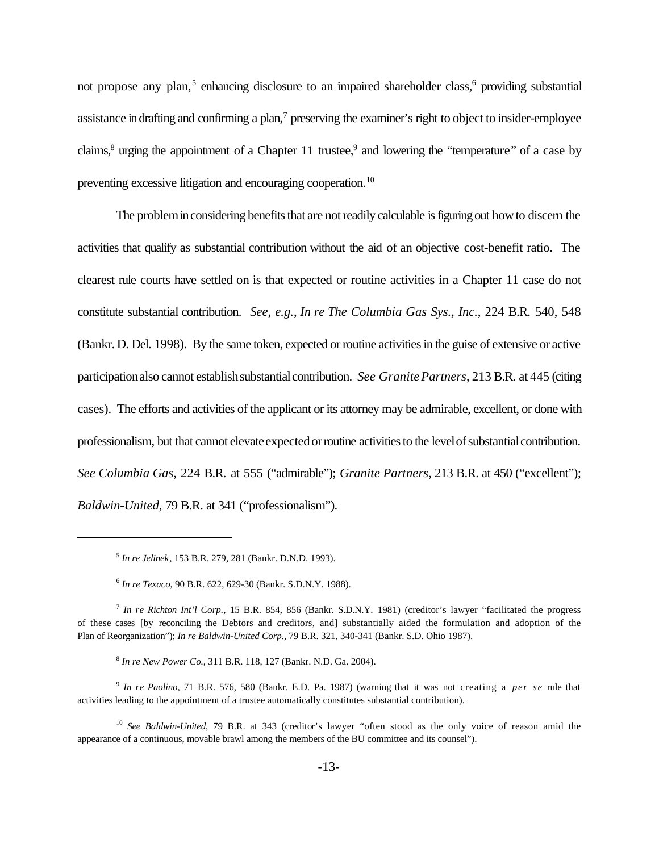not propose any plan,<sup>5</sup> enhancing disclosure to an impaired shareholder class,<sup>6</sup> providing substantial assistance in drafting and confirming a plan,<sup>7</sup> preserving the examiner's right to object to insider-employee claims,<sup>8</sup> urging the appointment of a Chapter 11 trustee,<sup>9</sup> and lowering the "temperature" of a case by preventing excessive litigation and encouraging cooperation.<sup>10</sup>

The problem in considering benefits that are not readily calculable is figuring out how to discern the activities that qualify as substantial contribution without the aid of an objective cost-benefit ratio. The clearest rule courts have settled on is that expected or routine activities in a Chapter 11 case do not constitute substantial contribution. *See*, *e.g.*, *In re The Columbia Gas Sys., Inc.*, 224 B.R. 540, 548 (Bankr. D. Del. 1998). By the same token, expected or routine activities in the guise of extensive or active participation also cannot establish substantial contribution. *See Granite Partners*, 213 B.R. at 445 (citing cases). The efforts and activities of the applicant or its attorney may be admirable, excellent, or done with professionalism, but that cannot elevate expected or routine activities to the level of substantial contribution. *See Columbia Gas*, 224 B.R. at 555 ("admirable"); *Granite Partners*, 213 B.R. at 450 ("excellent"); *Baldwin-United*, 79 B.R. at 341 ("professionalism").

<sup>5</sup> *In re Jelinek*, 153 B.R. 279, 281 (Bankr. D.N.D. 1993).

<sup>6</sup> *In re Texaco*, 90 B.R. 622, 629-30 (Bankr. S.D.N.Y. 1988).

<sup>7</sup> *In re Richton Int'l Corp.*, 15 B.R. 854, 856 (Bankr. S.D.N.Y. 1981) (creditor's lawyer "facilitated the progress of these cases [by reconciling the Debtors and creditors, and] substantially aided the formulation and adoption of the Plan of Reorganization"); *In re Baldwin-United Corp.*, 79 B.R. 321, 340-341 (Bankr. S.D. Ohio 1987).

<sup>8</sup> *In re New Power Co.*, 311 B.R. 118, 127 (Bankr. N.D. Ga. 2004).

<sup>9</sup> *In re Paolino*, 71 B.R. 576, 580 (Bankr. E.D. Pa. 1987) (warning that it was not creating a *per se* rule that activities leading to the appointment of a trustee automatically constitutes substantial contribution).

<sup>10</sup> *See Baldwin-United*, 79 B.R. at 343 (creditor's lawyer "often stood as the only voice of reason amid the appearance of a continuous, movable brawl among the members of the BU committee and its counsel").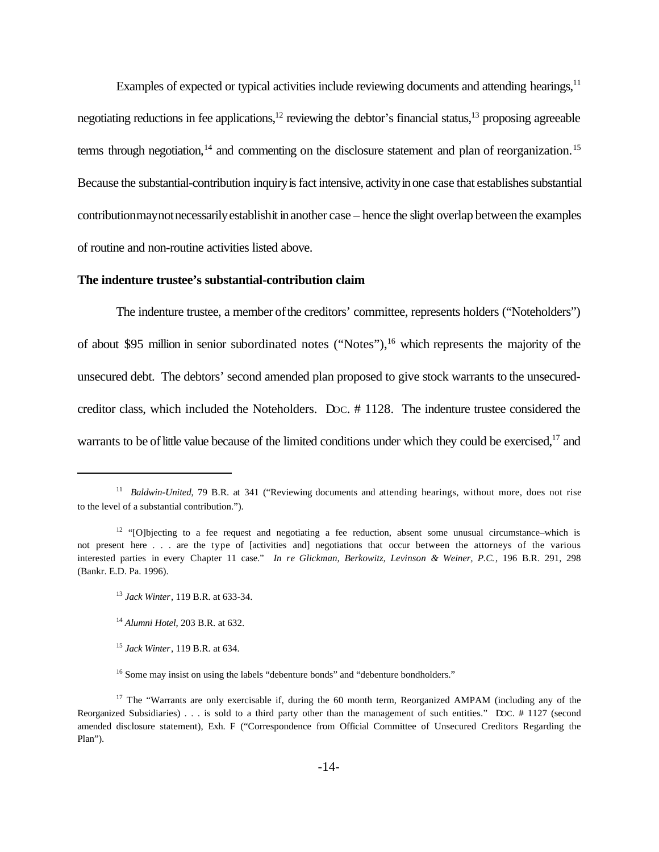Examples of expected or typical activities include reviewing documents and attending hearings,  $11$ negotiating reductions in fee applications,<sup>12</sup> reviewing the debtor's financial status,<sup>13</sup> proposing agreeable terms through negotiation, $14$  and commenting on the disclosure statement and plan of reorganization.<sup>15</sup> Because the substantial-contribution inquiry is fact intensive, activity in one case that establishes substantial contributionmay not necessarily establishit in another case – hence the slight overlap between the examples of routine and non-routine activities listed above.

## **The indenture trustee's substantial-contribution claim**

The indenture trustee, a member of the creditors' committee, represents holders ("Noteholders") of about \$95 million in senior subordinated notes ("Notes"), <sup>16</sup> which represents the majority of the unsecured debt. The debtors' second amended plan proposed to give stock warrants to the unsecuredcreditor class, which included the Noteholders. DOC. # 1128. The indenture trustee considered the warrants to be of little value because of the limited conditions under which they could be exercised,<sup>17</sup> and

<sup>&</sup>lt;sup>11</sup> Baldwin-United, 79 B.R. at 341 ("Reviewing documents and attending hearings, without more, does not rise to the level of a substantial contribution.").

<sup>&</sup>lt;sup>12</sup> "[O]bjecting to a fee request and negotiating a fee reduction, absent some unusual circumstance–which is not present here . . . are the type of [activities and] negotiations that occur between the attorneys of the various interested parties in every Chapter 11 case." *In re Glickman, Berkowitz, Levinson & Weiner, P.C.*, 196 B.R. 291, 298 (Bankr. E.D. Pa. 1996).

<sup>13</sup> *Jack Winter*, 119 B.R. at 633-34.

<sup>14</sup> *Alumni Hotel*, 203 B.R. at 632.

<sup>15</sup> *Jack Winter*, 119 B.R. at 634.

<sup>&</sup>lt;sup>16</sup> Some may insist on using the labels "debenture bonds" and "debenture bondholders."

<sup>&</sup>lt;sup>17</sup> The "Warrants are only exercisable if, during the 60 month term, Reorganized AMPAM (including any of the Reorganized Subsidiaries) . . . is sold to a third party other than the management of such entities." DOC. # 1127 (second amended disclosure statement), Exh. F ("Correspondence from Official Committee of Unsecured Creditors Regarding the Plan").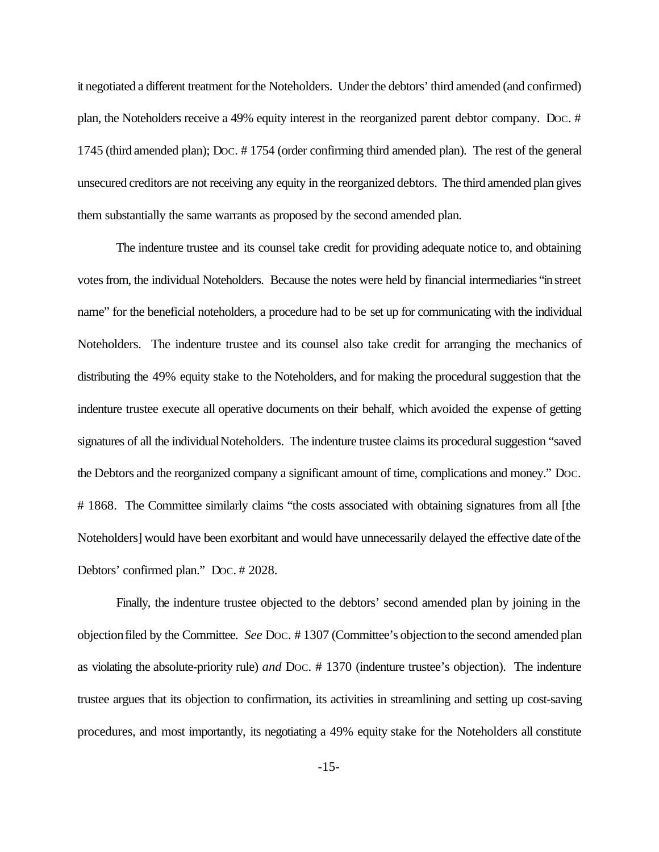it negotiated a different treatment forthe Noteholders. Under the debtors' third amended (and confirmed) plan, the Noteholders receive a 49% equity interest in the reorganized parent debtor company. DOC. # 1745 (third amended plan); DOC. # 1754 (order confirming third amended plan). The rest of the general unsecured creditors are not receiving any equity in the reorganized debtors. The third amended plan gives them substantially the same warrants as proposed by the second amended plan.

The indenture trustee and its counsel take credit for providing adequate notice to, and obtaining votesfrom, the individual Noteholders. Because the notes were held by financial intermediaries "instreet name" for the beneficial noteholders, a procedure had to be set up for communicating with the individual Noteholders. The indenture trustee and its counsel also take credit for arranging the mechanics of distributing the 49% equity stake to the Noteholders, and for making the procedural suggestion that the indenture trustee execute all operative documents on their behalf, which avoided the expense of getting signatures of all the individual Noteholders. The indenture trustee claims its procedural suggestion "saved the Debtors and the reorganized company a significant amount of time, complications and money." DOC. # 1868. The Committee similarly claims "the costs associated with obtaining signatures from all [the Noteholders] would have been exorbitant and would have unnecessarily delayed the effective date of the Debtors' confirmed plan." DOC. # 2028.

Finally, the indenture trustee objected to the debtors' second amended plan by joining in the objectionfiled by the Committee. *See* DOC. # 1307 (Committee's objectionto the second amended plan as violating the absolute-priority rule) *and* DOC. # 1370 (indenture trustee's objection). The indenture trustee argues that its objection to confirmation, its activities in streamlining and setting up cost-saving procedures, and most importantly, its negotiating a 49% equity stake for the Noteholders all constitute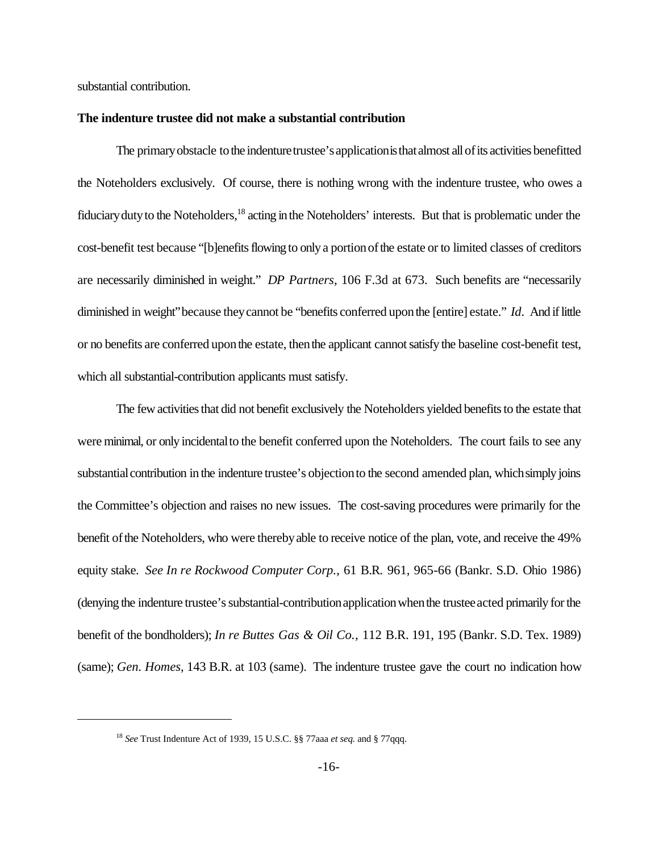substantial contribution.

## **The indenture trustee did not make a substantial contribution**

The primary obstacle to the indenture trustee's application is that almost all of its activities benefitted the Noteholders exclusively. Of course, there is nothing wrong with the indenture trustee, who owes a fiduciary duty to the Noteholders,<sup>18</sup> acting in the Noteholders' interests. But that is problematic under the cost-benefit test because "[b]enefits flowing to only a portion of the estate or to limited classes of creditors are necessarily diminished in weight." *DP Partners*, 106 F.3d at 673. Such benefits are "necessarily diminished in weight"because theycannot be "benefits conferred uponthe [entire] estate." *Id*. And if little or no benefits are conferred uponthe estate, thenthe applicant cannotsatisfy the baseline cost-benefit test, which all substantial-contribution applicants must satisfy.

The few activities that did not benefit exclusively the Noteholders yielded benefits to the estate that were minimal, or only incidental to the benefit conferred upon the Noteholders. The court fails to see any substantial contribution in the indenture trustee's objection to the second amended plan, which simply joins the Committee's objection and raises no new issues. The cost-saving procedures were primarily for the benefit of the Noteholders, who were thereby able to receive notice of the plan, vote, and receive the 49% equity stake. *See In re Rockwood Computer Corp.*, 61 B.R. 961, 965-66 (Bankr. S.D. Ohio 1986) (denying the indenture trustee's substantial-contribution application when the trustee acted primarily for the benefit of the bondholders); *In re Buttes Gas & Oil Co.*, 112 B.R. 191, 195 (Bankr. S.D. Tex. 1989) (same); *Gen. Homes*, 143 B.R. at 103 (same). The indenture trustee gave the court no indication how

<sup>18</sup> *See* Trust Indenture Act of 1939, 15 U.S.C. §§ 77aaa *et seq.* and § 77qqq.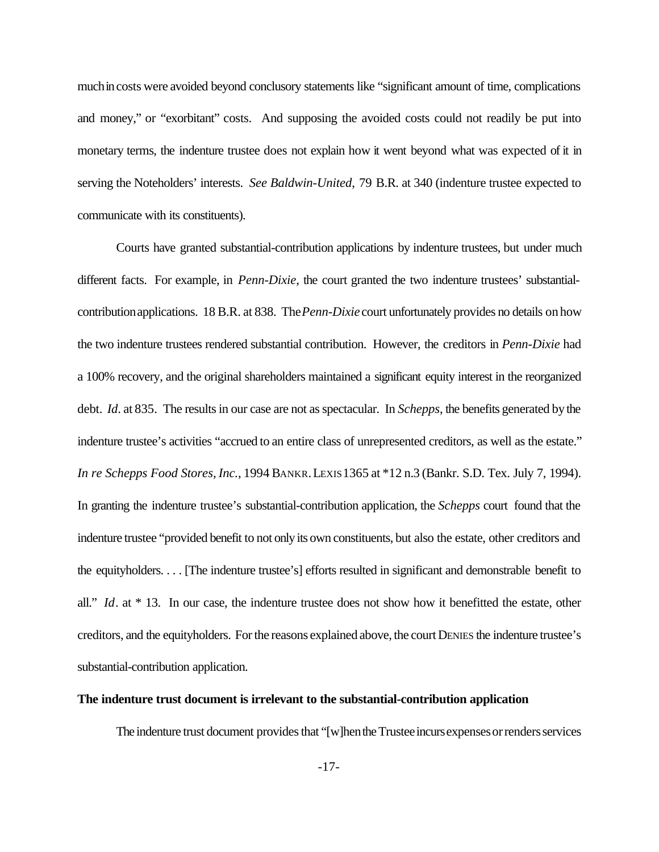much in costs were avoided beyond conclusory statements like "significant amount of time, complications and money," or "exorbitant" costs. And supposing the avoided costs could not readily be put into monetary terms, the indenture trustee does not explain how it went beyond what was expected of it in serving the Noteholders' interests. *See Baldwin-United*, 79 B.R. at 340 (indenture trustee expected to communicate with its constituents).

Courts have granted substantial-contribution applications by indenture trustees, but under much different facts. For example, in *Penn-Dixie*, the court granted the two indenture trustees' substantialcontributionapplications. 18 B.R. at 838. The *Penn-Dixie* court unfortunately provides no details onhow the two indenture trustees rendered substantial contribution. However, the creditors in *Penn-Dixie* had a 100% recovery, and the original shareholders maintained a significant equity interest in the reorganized debt. *Id*. at 835. The results in our case are not as spectacular. In *Schepps*, the benefits generated bythe indenture trustee's activities "accrued to an entire class of unrepresented creditors, as well as the estate." *In re Schepps Food Stores, Inc.*, 1994 BANKR.LEXIS1365 at \*12 n.3 (Bankr. S.D. Tex. July 7, 1994). In granting the indenture trustee's substantial-contribution application, the *Schepps* court found that the indenture trustee "provided benefit to not only its own constituents, but also the estate, other creditors and the equityholders. . . . [The indenture trustee's] efforts resulted in significant and demonstrable benefit to all." *Id*. at \* 13. In our case, the indenture trustee does not show how it benefitted the estate, other creditors, and the equityholders. For the reasons explained above, the court DENIES the indenture trustee's substantial-contribution application.

## **The indenture trust document is irrelevant to the substantial-contribution application**

The indenture trust document provides that "[w]hen the Trustee incurs expenses or renders services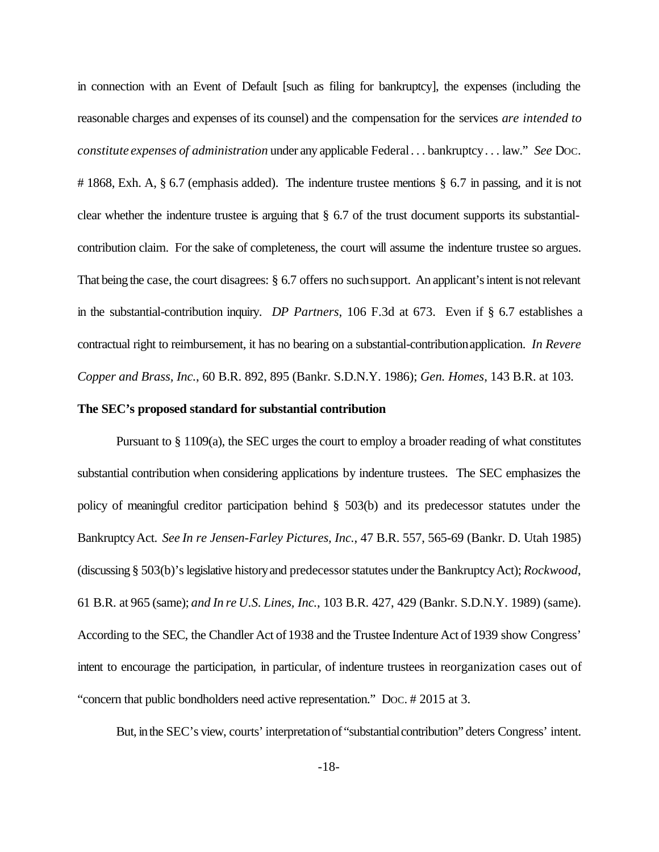in connection with an Event of Default [such as filing for bankruptcy], the expenses (including the reasonable charges and expenses of its counsel) and the compensation for the services *are intended to constitute expenses of administration* under any applicable Federal. . . bankruptcy. . . law." *See* DOC. # 1868, Exh. A, § 6.7 (emphasis added). The indenture trustee mentions § 6.7 in passing, and it is not clear whether the indenture trustee is arguing that  $\S$  6.7 of the trust document supports its substantialcontribution claim. For the sake of completeness, the court will assume the indenture trustee so argues. That being the case, the court disagrees: § 6.7 offers no suchsupport. An applicant's intent is not relevant in the substantial-contribution inquiry. *DP Partners*, 106 F.3d at 673. Even if § 6.7 establishes a contractual right to reimbursement, it has no bearing on a substantial-contributionapplication. *In Revere Copper and Brass, Inc.*, 60 B.R. 892, 895 (Bankr. S.D.N.Y. 1986); *Gen. Homes*, 143 B.R. at 103.

#### **The SEC's proposed standard for substantial contribution**

Pursuant to § 1109(a), the SEC urges the court to employ a broader reading of what constitutes substantial contribution when considering applications by indenture trustees. The SEC emphasizes the policy of meaningful creditor participation behind § 503(b) and its predecessor statutes under the BankruptcyAct. *See In re Jensen-Farley Pictures, Inc.*, 47 B.R. 557, 565-69 (Bankr. D. Utah 1985) (discussing § 503(b)'slegislative historyand predecessorstatutes underthe BankruptcyAct); *Rockwood*, 61 B.R. at 965 (same); *and In re U.S. Lines, Inc.*, 103 B.R. 427, 429 (Bankr. S.D.N.Y. 1989) (same). According to the SEC, the Chandler Act of 1938 and the Trustee Indenture Act of 1939 show Congress' intent to encourage the participation, in particular, of indenture trustees in reorganization cases out of "concern that public bondholders need active representation." Doc. #2015 at 3.

But, in the SEC's view, courts' interpretation of "substantial contribution" deters Congress' intent.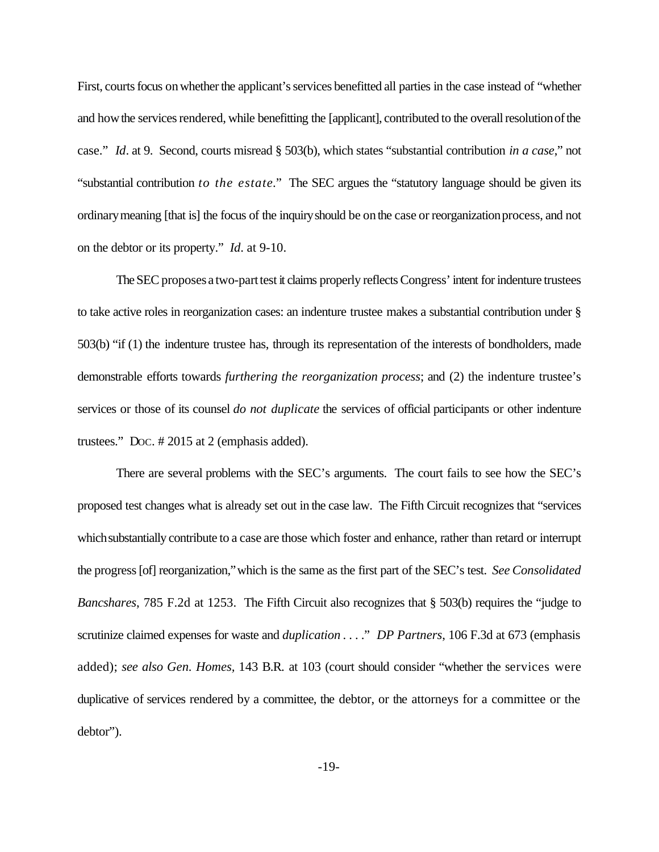First, courts focus on whether the applicant's services benefitted all parties in the case instead of "whether and how the services rendered, while benefitting the [applicant], contributed to the overall resolution of the case." *Id*. at 9. Second, courts misread § 503(b), which states "substantial contribution *in a case*," not "substantial contribution *to the estate*." The SEC argues the "statutory language should be given its ordinarymeaning [that is] the focus of the inquiryshould be onthe case or reorganizationprocess, and not on the debtor or its property." *Id*. at 9-10.

The SEC proposes a two-part test it claims properly reflects Congress' intent for indenture trustees to take active roles in reorganization cases: an indenture trustee makes a substantial contribution under § 503(b) "if (1) the indenture trustee has, through its representation of the interests of bondholders, made demonstrable efforts towards *furthering the reorganization process*; and (2) the indenture trustee's services or those of its counsel *do not duplicate* the services of official participants or other indenture trustees." DOC. # 2015 at 2 (emphasis added).

There are several problems with the SEC's arguments. The court fails to see how the SEC's proposed test changes what is already set out in the case law. The Fifth Circuit recognizes that "services which substantially contribute to a case are those which foster and enhance, rather than retard or interrupt the progress[of] reorganization,"which is the same as the first part of the SEC's test. *See Consolidated Bancshares*, 785 F.2d at 1253. The Fifth Circuit also recognizes that § 503(b) requires the "judge to scrutinize claimed expenses for waste and *duplication* . . . ." *DP Partners*, 106 F.3d at 673 (emphasis added); *see also Gen. Homes,* 143 B.R. at 103 (court should consider "whether the services were duplicative of services rendered by a committee, the debtor, or the attorneys for a committee or the debtor").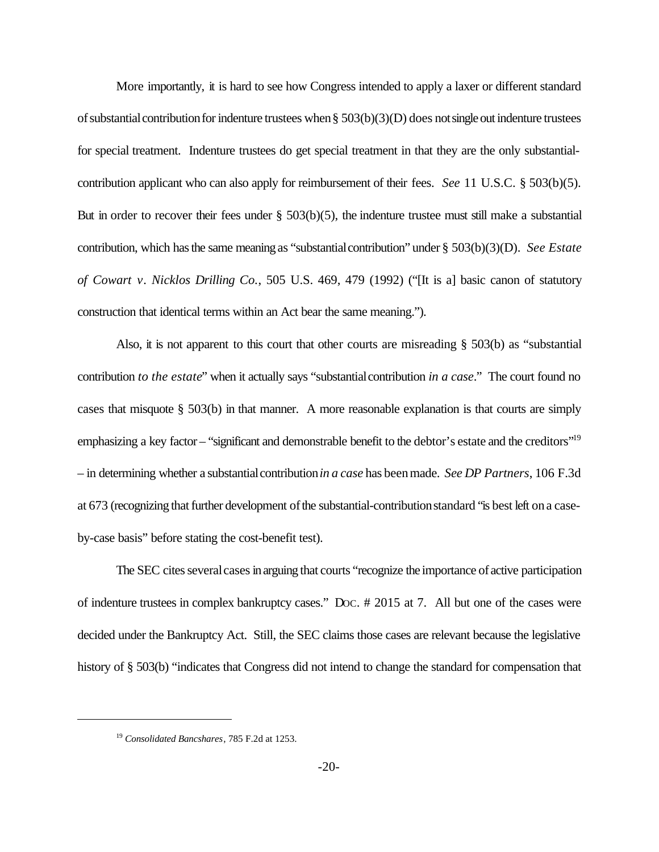More importantly, it is hard to see how Congress intended to apply a laxer or different standard of substantial contribution for indenture trustees when  $\S$  503(b)(3)(D) does not single out indenture trustees for special treatment. Indenture trustees do get special treatment in that they are the only substantialcontribution applicant who can also apply for reimbursement of their fees. *See* 11 U.S.C. § 503(b)(5). But in order to recover their fees under § 503(b)(5), the indenture trustee must still make a substantial contribution, which has the same meaning as "substantial contribution" under § 503(b)(3)(D). *See Estate of Cowart v. Nicklos Drilling Co.*, 505 U.S. 469, 479 (1992) ("[It is a] basic canon of statutory construction that identical terms within an Act bear the same meaning.").

Also, it is not apparent to this court that other courts are misreading  $\S$  503(b) as "substantial contribution *to the estate*" when it actually says "substantialcontribution *in a case*." The court found no cases that misquote § 503(b) in that manner. A more reasonable explanation is that courts are simply emphasizing a key factor – "significant and demonstrable benefit to the debtor's estate and the creditors"<sup>19</sup> – in determining whether a substantialcontribution*in a case* has beenmade. *See DP Partners*, 106 F.3d at 673 (recognizing that further development of the substantial-contribution standard "is best left on a caseby-case basis" before stating the cost-benefit test).

The SEC cites several cases in arguing that courts "recognize the importance of active participation of indenture trustees in complex bankruptcy cases." DOC. # 2015 at 7. All but one of the cases were decided under the Bankruptcy Act. Still, the SEC claims those cases are relevant because the legislative history of § 503(b) "indicates that Congress did not intend to change the standard for compensation that

<sup>19</sup> *Consolidated Bancshares*, 785 F.2d at 1253.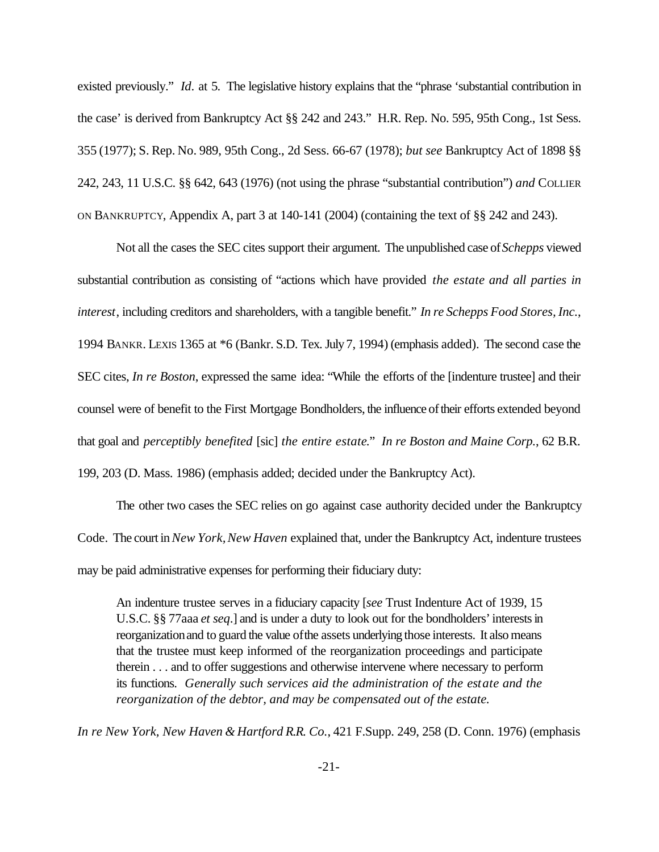existed previously." *Id.* at 5. The legislative history explains that the "phrase 'substantial contribution in the case' is derived from Bankruptcy Act §§ 242 and 243." H.R. Rep. No. 595, 95th Cong., 1st Sess. 355 (1977); S. Rep. No. 989, 95th Cong., 2d Sess. 66-67 (1978); *but see* Bankruptcy Act of 1898 §§ 242, 243, 11 U.S.C. §§ 642, 643 (1976) (not using the phrase "substantial contribution") *and* COLLIER ON BANKRUPTCY, Appendix A, part 3 at 140-141 (2004) (containing the text of §§ 242 and 243).

Not all the cases the SEC cites support their argument. The unpublished case of*Schepps* viewed substantial contribution as consisting of "actions which have provided *the estate and all parties in interest*, including creditors and shareholders, with a tangible benefit." *In re Schepps Food Stores, Inc.*, 1994 BANKR. LEXIS 1365 at \*6 (Bankr. S.D. Tex. July 7, 1994) (emphasis added). The second case the SEC cites, *In re Boston*, expressed the same idea: "While the efforts of the [indenture trustee] and their counsel were of benefit to the First Mortgage Bondholders, the influence oftheir efforts extended beyond that goal and *perceptibly benefited* [sic] *the entire estate*." *In re Boston and Maine Corp.*, 62 B.R. 199, 203 (D. Mass. 1986) (emphasis added; decided under the Bankruptcy Act).

The other two cases the SEC relies on go against case authority decided under the Bankruptcy Code. The court in *New York, New Haven* explained that, under the Bankruptcy Act, indenture trustees may be paid administrative expenses for performing their fiduciary duty:

An indenture trustee serves in a fiduciary capacity [*see* Trust Indenture Act of 1939, 15 U.S.C. §§ 77aaa *et seq*.] and is under a duty to look out for the bondholders' interests in reorganizationand to guard the value ofthe assets underlying those interests. It also means that the trustee must keep informed of the reorganization proceedings and participate therein . . . and to offer suggestions and otherwise intervene where necessary to perform its functions. *Generally such services aid the administration of the estate and the reorganization of the debtor, and may be compensated out of the estate.*

*In re New York, New Haven & Hartford R.R. Co.*, 421 F.Supp. 249, 258 (D. Conn. 1976) (emphasis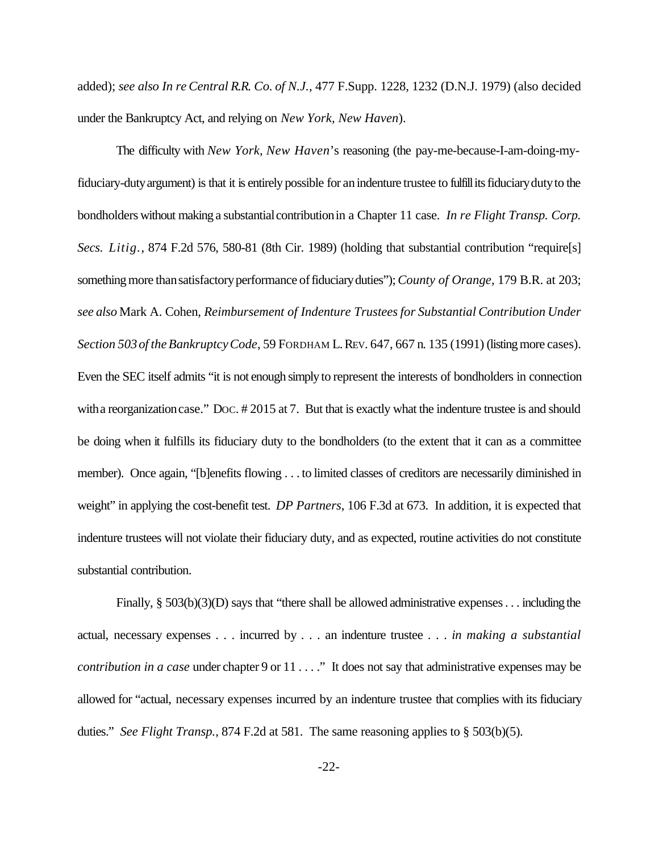added); *see also In re Central R.R. Co. of N.J.*, 477 F.Supp. 1228, 1232 (D.N.J. 1979) (also decided under the Bankruptcy Act, and relying on *New York, New Haven*).

The difficulty with *New York, New Haven*'s reasoning (the pay-me-because-I-am-doing-myfiduciary-duty argument) is that it is entirely possible for an indenture trustee to fulfill its fiduciary duty to the bondholders without making a substantialcontributionin a Chapter 11 case. *In re Flight Transp. Corp. Secs. Litig.*, 874 F.2d 576, 580-81 (8th Cir. 1989) (holding that substantial contribution "require[s] something more than satisfactory performance of fiduciary duties"); *County of Orange*, 179 B.R. at 203; *see also* Mark A. Cohen, *Reimbursement of Indenture Trusteesfor Substantial Contribution Under Section 503of theBankruptcyCode*, 59 FORDHAM L.REV. 647, 667 n. 135 (1991) (listingmore cases). Even the SEC itself admits "it is not enough simply to represent the interests of bondholders in connection with a reorganization case." Doc. #2015 at 7. But that is exactly what the indenture trustee is and should be doing when it fulfills its fiduciary duty to the bondholders (to the extent that it can as a committee member). Once again, "[b]enefits flowing . . . to limited classes of creditors are necessarily diminished in weight" in applying the cost-benefit test. *DP Partners*, 106 F.3d at 673. In addition, it is expected that indenture trustees will not violate their fiduciary duty, and as expected, routine activities do not constitute substantial contribution.

Finally, § 503(b)(3)(D) says that "there shall be allowed administrative expenses... including the actual, necessary expenses . . . incurred by . . . an indenture trustee . . . *in making a substantial contribution in a case* under chapter 9 or 11 . . . ." It does not say that administrative expenses may be allowed for "actual, necessary expenses incurred by an indenture trustee that complies with its fiduciary duties." *See Flight Transp.*, 874 F.2d at 581. The same reasoning applies to § 503(b)(5).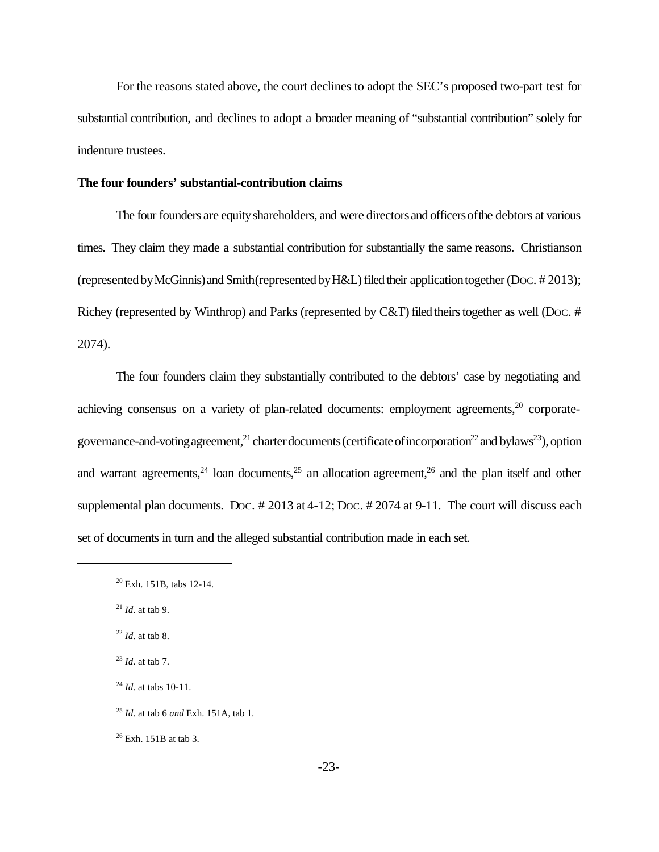For the reasons stated above, the court declines to adopt the SEC's proposed two-part test for substantial contribution, and declines to adopt a broader meaning of "substantial contribution" solely for indenture trustees.

### **The four founders' substantial-contribution claims**

The four founders are equity shareholders, and were directors and officers of the debtors at various times. They claim they made a substantial contribution for substantially the same reasons. Christianson (representedbyMcGinnis)and Smith(representedbyH&L)filed their applicationtogether(DOC. # 2013); Richey (represented by Winthrop) and Parks (represented by C&T) filed theirs together as well (Doc. # 2074).

The four founders claim they substantially contributed to the debtors' case by negotiating and achieving consensus on a variety of plan-related documents: employment agreements,<sup>20</sup> corporategovernance-and-voting agreement,<sup>21</sup> charter documents (certificate of incorporation<sup>22</sup> and bylaws<sup>23</sup>), option and warrant agreements,  $24$  loan documents,  $25$  an allocation agreement,  $26$  and the plan itself and other supplemental plan documents. Doc. # 2013 at 4-12; Doc. # 2074 at 9-11. The court will discuss each set of documents in turn and the alleged substantial contribution made in each set.

 $26$  Exh. 151B at tab 3.

<sup>20</sup> Exh. 151B, tabs 12-14.

<sup>21</sup> *Id*. at tab 9.

<sup>22</sup> *Id*. at tab 8.

<sup>23</sup> *Id*. at tab 7.

<sup>24</sup> *Id*. at tabs 10-11.

<sup>25</sup> *Id*. at tab 6 *and* Exh. 151A, tab 1.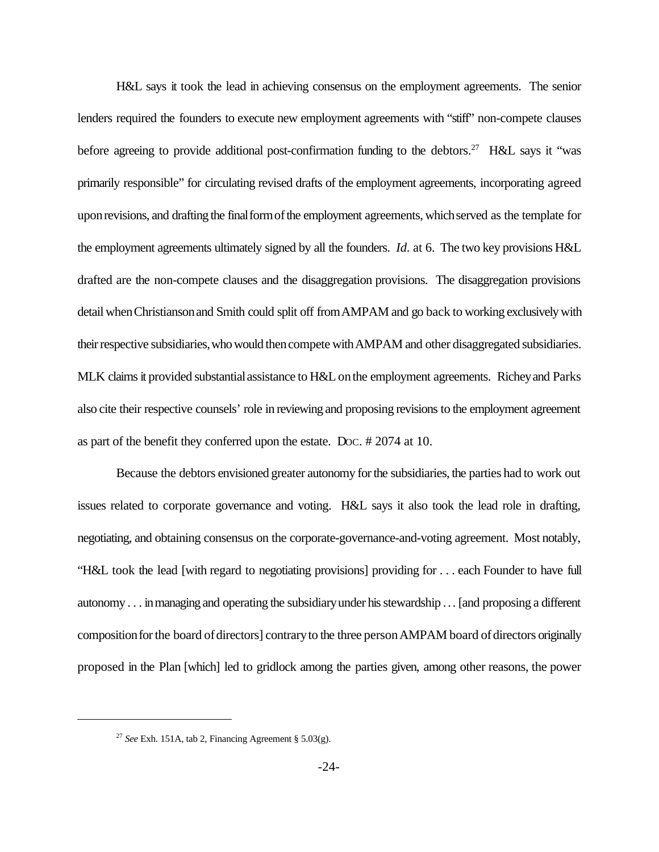H&L says it took the lead in achieving consensus on the employment agreements. The senior lenders required the founders to execute new employment agreements with "stiff" non-compete clauses before agreeing to provide additional post-confirmation funding to the debtors.<sup>27</sup> H&L says it "was primarily responsible" for circulating revised drafts of the employment agreements, incorporating agreed upon revisions, and drafting the final form of the employment agreements, which served as the template for the employment agreements ultimately signed by all the founders. *Id*. at 6. The two key provisions H&L drafted are the non-compete clauses and the disaggregation provisions. The disaggregation provisions detail when Christianson and Smith could split off from AMPAM and go back to working exclusively with their respective subsidiaries, who would then compete with AMPAM and other disaggregated subsidiaries. MLK claims it provided substantial assistance to H&L on the employment agreements. Richey and Parks also cite their respective counsels' role in reviewing and proposing revisions to the employment agreement as part of the benefit they conferred upon the estate. DOC. # 2074 at 10.

Because the debtors envisioned greater autonomy for the subsidiaries, the parties had to work out issues related to corporate governance and voting. H&L says it also took the lead role in drafting, negotiating, and obtaining consensus on the corporate-governance-and-voting agreement. Most notably, "H&L took the lead [with regard to negotiating provisions] providing for . . . each Founder to have full autonomy . . . inmanaging and operating the subsidiaryunder hisstewardship ... [and proposing a different composition for the board of directors] contrary to the three person AMPAM board of directors originally proposed in the Plan [which] led to gridlock among the parties given, among other reasons, the power

<sup>&</sup>lt;sup>27</sup> *See* Exh. 151A, tab 2, Financing Agreement § 5.03(g).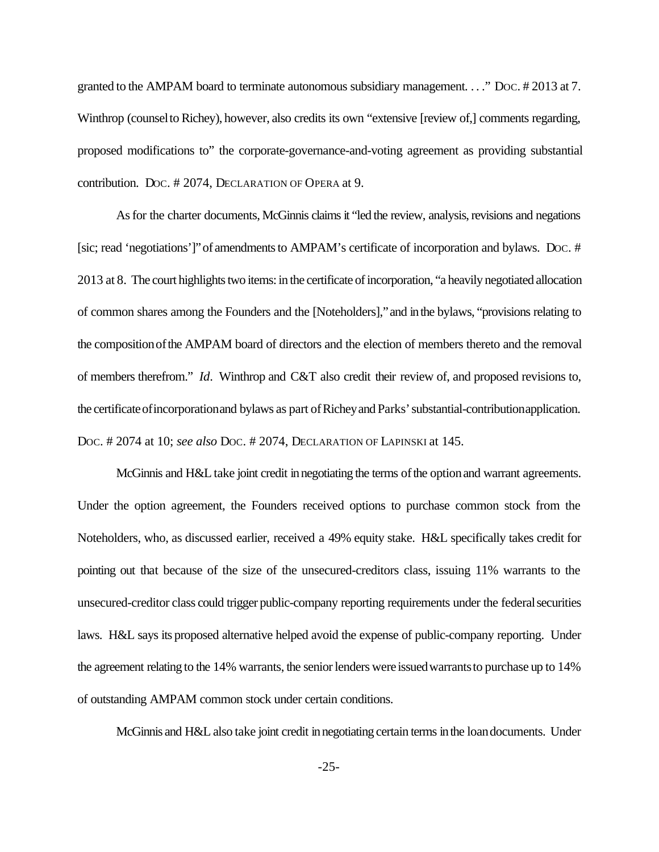granted to the AMPAM board to terminate autonomous subsidiary management. . . ." Doc. #2013 at 7. Winthrop (counsel to Richey), however, also credits its own "extensive [review of,] comments regarding, proposed modifications to" the corporate-governance-and-voting agreement as providing substantial contribution. DOC. # 2074, DECLARATION OF OPERA at 9.

As for the charter documents, McGinnis claims it "led the review, analysis, revisions and negations [sic; read 'negotiations']" of amendments to AMPAM's certificate of incorporation and bylaws. Doc. # 2013 at 8. The court highlights two items: in the certificate of incorporation, "a heavily negotiated allocation of common shares among the Founders and the [Noteholders],"and inthe bylaws, "provisions relating to the compositionofthe AMPAM board of directors and the election of members thereto and the removal of members therefrom." *Id*. Winthrop and C&T also credit their review of, and proposed revisions to, the certificate of incorporation and bylaws as part of Richey and Parks' substantial-contribution application. DOC. # 2074 at 10; *see also* DOC. # 2074, DECLARATION OF LAPINSKI at 145.

McGinnis and H&L take joint credit in negotiating the terms of the option and warrant agreements. Under the option agreement, the Founders received options to purchase common stock from the Noteholders, who, as discussed earlier, received a 49% equity stake. H&L specifically takes credit for pointing out that because of the size of the unsecured-creditors class, issuing 11% warrants to the unsecured-creditor class could trigger public-company reporting requirements under the federalsecurities laws. H&L says its proposed alternative helped avoid the expense of public-company reporting. Under the agreement relating to the 14% warrants, the senior lenders were issued warrants to purchase up to 14% of outstanding AMPAM common stock under certain conditions.

McGinnis and H&L also take joint credit in negotiating certain terms in the loan documents. Under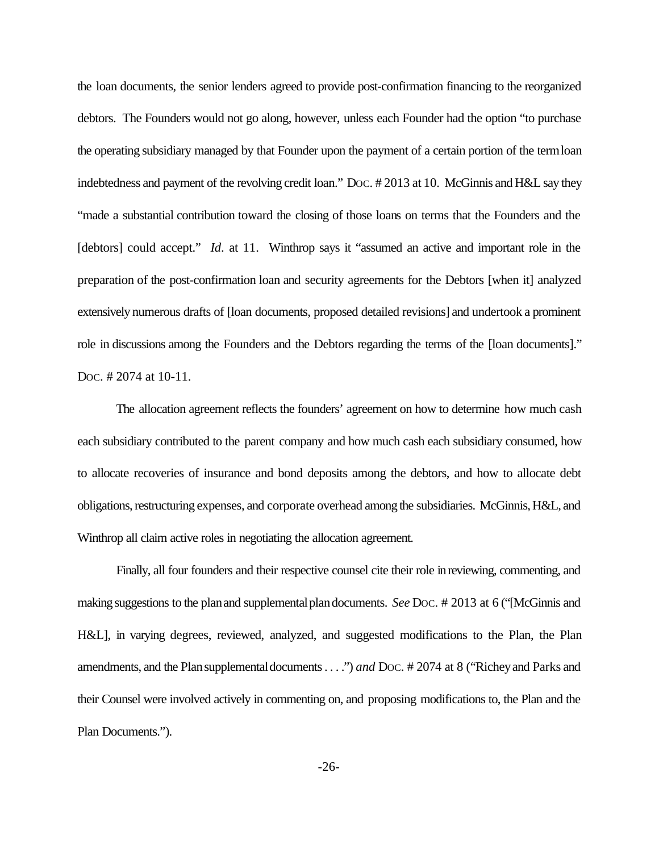the loan documents, the senior lenders agreed to provide post-confirmation financing to the reorganized debtors. The Founders would not go along, however, unless each Founder had the option "to purchase the operating subsidiary managed by that Founder upon the payment of a certain portion of the termloan indebtedness and payment of the revolving credit loan." Doc. #2013 at 10. McGinnis and H&L say they "made a substantial contribution toward the closing of those loans on terms that the Founders and the [debtors] could accept." *Id.* at 11. Winthrop says it "assumed an active and important role in the preparation of the post-confirmation loan and security agreements for the Debtors [when it] analyzed extensively numerous drafts of [loan documents, proposed detailed revisions] and undertook a prominent role in discussions among the Founders and the Debtors regarding the terms of the [loan documents]." DOC. # 2074 at 10-11.

The allocation agreement reflects the founders' agreement on how to determine how much cash each subsidiary contributed to the parent company and how much cash each subsidiary consumed, how to allocate recoveries of insurance and bond deposits among the debtors, and how to allocate debt obligations, restructuring expenses, and corporate overhead among the subsidiaries. McGinnis, H&L, and Winthrop all claim active roles in negotiating the allocation agreement.

Finally, all four founders and their respective counsel cite their role in reviewing, commenting, and making suggestions to the planand supplementalplandocuments. *See* DOC. # 2013 at 6 ("[McGinnis and H&L], in varying degrees, reviewed, analyzed, and suggested modifications to the Plan, the Plan amendments, and the Plansupplementaldocuments. . . .") *and* DOC. # 2074 at 8 ("Richeyand Parks and their Counsel were involved actively in commenting on, and proposing modifications to, the Plan and the Plan Documents.").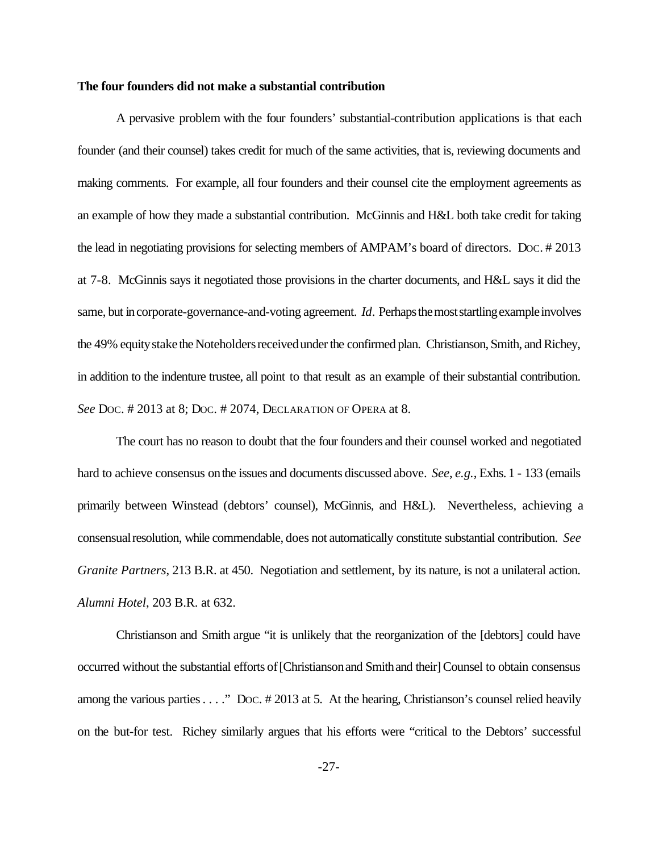### **The four founders did not make a substantial contribution**

A pervasive problem with the four founders' substantial-contribution applications is that each founder (and their counsel) takes credit for much of the same activities, that is, reviewing documents and making comments. For example, all four founders and their counsel cite the employment agreements as an example of how they made a substantial contribution. McGinnis and H&L both take credit for taking the lead in negotiating provisions for selecting members of AMPAM's board of directors. DOC. # 2013 at 7-8. McGinnis says it negotiated those provisions in the charter documents, and H&L says it did the same, but incorporate-governance-and-voting agreement. *Id*. Perhaps the most startling example involves the 49% equity stake the Noteholders received under the confirmed plan. Christianson, Smith, and Richey, in addition to the indenture trustee, all point to that result as an example of their substantial contribution. *See* DOC. # 2013 at 8; DOC. # 2074, DECLARATION OF OPERA at 8.

The court has no reason to doubt that the four founders and their counsel worked and negotiated hard to achieve consensus onthe issues and documents discussed above. *See*, *e.g.*, Exhs. 1 - 133 (emails primarily between Winstead (debtors' counsel), McGinnis, and H&L). Nevertheless, achieving a consensualresolution, while commendable, does not automatically constitute substantial contribution. *See Granite Partners*, 213 B.R. at 450. Negotiation and settlement, by its nature, is not a unilateral action. *Alumni Hotel*, 203 B.R. at 632.

Christianson and Smith argue "it is unlikely that the reorganization of the [debtors] could have occurred without the substantial efforts of[Christiansonand Smithand their]Counsel to obtain consensus among the various parties . . . ." Doc. # 2013 at 5. At the hearing, Christianson's counsel relied heavily on the but-for test. Richey similarly argues that his efforts were "critical to the Debtors' successful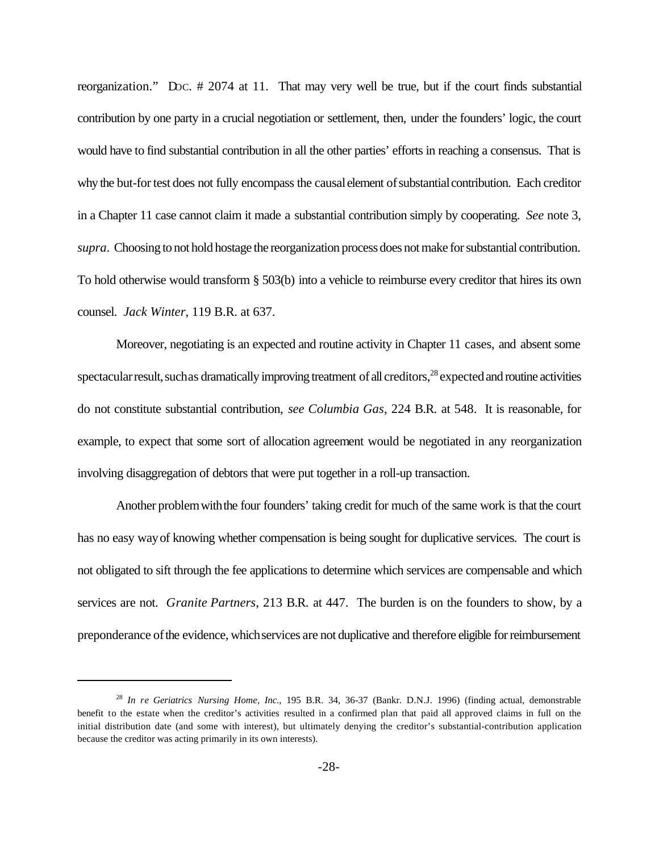reorganization." Doc. # 2074 at 11. That may very well be true, but if the court finds substantial contribution by one party in a crucial negotiation or settlement, then, under the founders' logic, the court would have to find substantial contribution in all the other parties' efforts in reaching a consensus. That is why the but-for test does not fully encompass the causal element of substantial contribution. Each creditor in a Chapter 11 case cannot claim it made a substantial contribution simply by cooperating. *See* note 3, *supra*. Choosing to not hold hostage the reorganization process does not make for substantial contribution. To hold otherwise would transform § 503(b) into a vehicle to reimburse every creditor that hires its own counsel. *Jack Winter*, 119 B.R. at 637.

Moreover, negotiating is an expected and routine activity in Chapter 11 cases, and absent some spectacular result, such as dramatically improving treatment of all creditors,  $28$  expected and routine activities do not constitute substantial contribution, *see Columbia Gas*, 224 B.R. at 548. It is reasonable, for example, to expect that some sort of allocation agreement would be negotiated in any reorganization involving disaggregation of debtors that were put together in a roll-up transaction.

Another problem with the four founders' taking credit for much of the same work is that the court has no easy wayof knowing whether compensation is being sought for duplicative services. The court is not obligated to sift through the fee applications to determine which services are compensable and which services are not. *Granite Partners*, 213 B.R. at 447. The burden is on the founders to show, by a preponderance of the evidence, which services are not duplicative and therefore eligible for reimbursement

<sup>28</sup> *In re Geriatrics Nursing Home, Inc.*, 195 B.R. 34, 36-37 (Bankr. D.N.J. 1996) (finding actual, demonstrable benefit to the estate when the creditor's activities resulted in a confirmed plan that paid all approved claims in full on the initial distribution date (and some with interest), but ultimately denying the creditor's substantial-contribution application because the creditor was acting primarily in its own interests).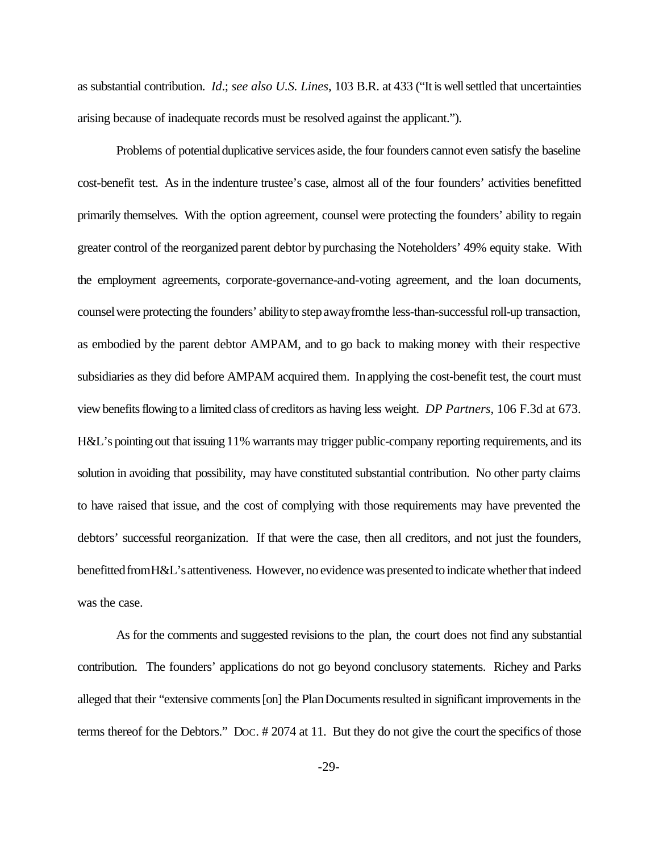as substantial contribution. *Id*.; *see also U.S. Lines*, 103 B.R. at 433 ("It is wellsettled that uncertainties arising because of inadequate records must be resolved against the applicant.").

Problems of potentialduplicative services aside, the four founders cannot even satisfy the baseline cost-benefit test. As in the indenture trustee's case, almost all of the four founders' activities benefitted primarily themselves. With the option agreement, counsel were protecting the founders' ability to regain greater control of the reorganized parent debtor by purchasing the Noteholders' 49% equity stake. With the employment agreements, corporate-governance-and-voting agreement, and the loan documents, counselwere protecting the founders' abilityto stepawayfromthe less-than-successfulroll-up transaction, as embodied by the parent debtor AMPAM, and to go back to making money with their respective subsidiaries as they did before AMPAM acquired them. In applying the cost-benefit test, the court must viewbenefitsflowing to a limited class of creditors as having less weight. *DP Partners*, 106 F.3d at 673. H&L's pointing out that issuing 11% warrants may trigger public-company reporting requirements, and its solution in avoiding that possibility, may have constituted substantial contribution. No other party claims to have raised that issue, and the cost of complying with those requirements may have prevented the debtors' successful reorganization. If that were the case, then all creditors, and not just the founders, benefitted from H&L's attentiveness. However, no evidence was presented to indicate whether that indeed was the case.

As for the comments and suggested revisions to the plan, the court does not find any substantial contribution. The founders' applications do not go beyond conclusory statements. Richey and Parks alleged that their "extensive comments [on] the Plan Documents resulted in significant improvements in the terms thereof for the Debtors." DOC. # 2074 at 11. But they do not give the court the specifics of those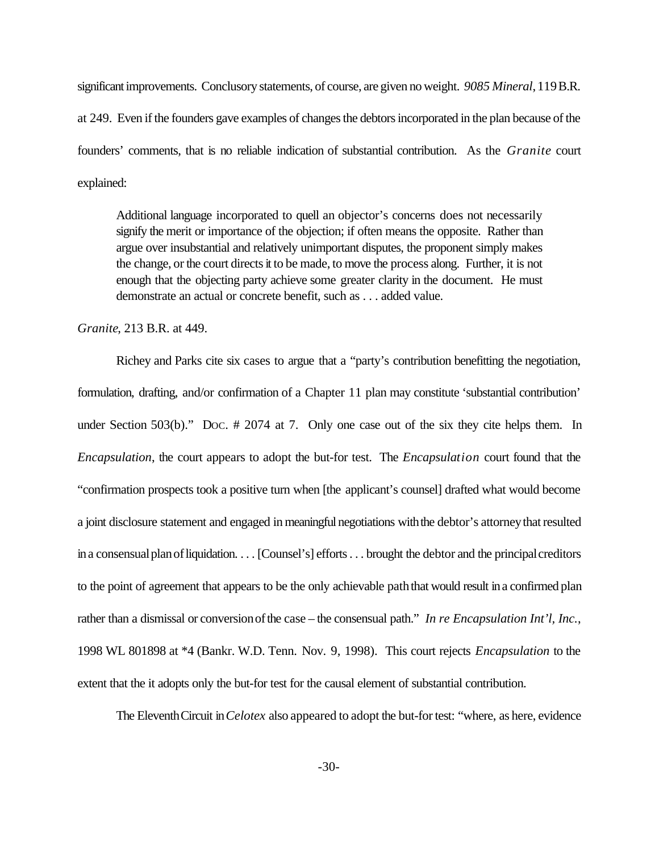significantimprovements. Conclusory statements, of course, are given no weight. *9085 Mineral*,119B.R. at 249. Even if the founders gave examples of changes the debtors incorporated in the plan because of the founders' comments, that is no reliable indication of substantial contribution. As the *Granite* court explained:

Additional language incorporated to quell an objector's concerns does not necessarily signify the merit or importance of the objection; if often means the opposite. Rather than argue over insubstantial and relatively unimportant disputes, the proponent simply makes the change, or the court directsit to be made, to move the process along. Further, it is not enough that the objecting party achieve some greater clarity in the document. He must demonstrate an actual or concrete benefit, such as . . . added value.

*Granite*, 213 B.R. at 449.

Richey and Parks cite six cases to argue that a "party's contribution benefitting the negotiation, formulation, drafting, and/or confirmation of a Chapter 11 plan may constitute 'substantial contribution' under Section 503(b)." Doc. # 2074 at 7. Only one case out of the six they cite helps them. In *Encapsulation*, the court appears to adopt the but-for test. The *Encapsulation* court found that the "confirmation prospects took a positive turn when [the applicant's counsel] drafted what would become a joint disclosure statement and engaged in meaningful negotiations with the debtor's attorney that resulted in a consensual plan of liquidation. . . . [Counsel's] efforts . . . brought the debtor and the principal creditors to the point of agreement that appears to be the only achievable path that would result in a confirmed plan rather than a dismissal or conversion of the case – the consensual path." *In re Encapsulation Int'l, Inc.*, 1998 WL 801898 at \*4 (Bankr. W.D. Tenn. Nov. 9, 1998). This court rejects *Encapsulation* to the extent that the it adopts only the but-for test for the causal element of substantial contribution.

The Eleventh Circuit in *Celotex* also appeared to adopt the but-for test: "where, as here, evidence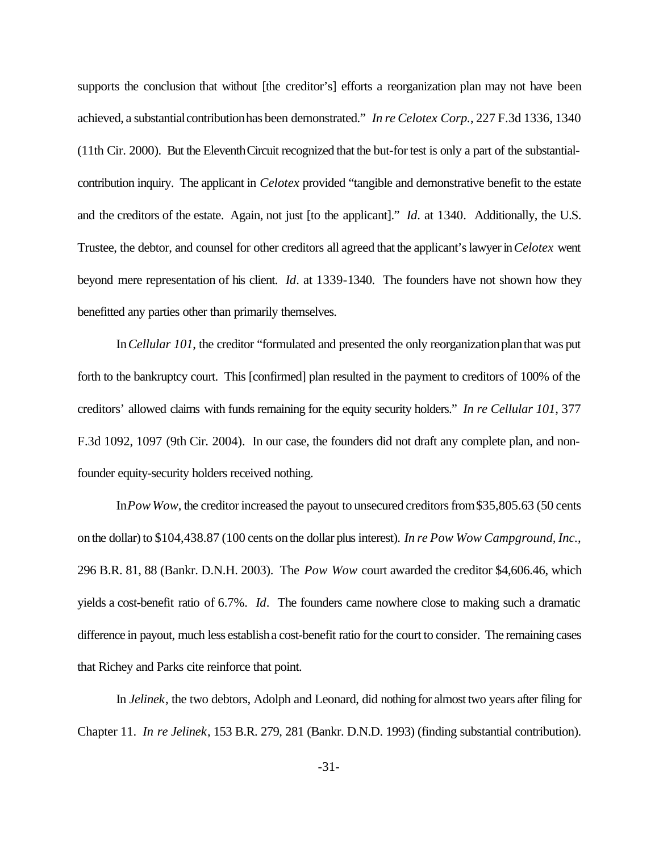supports the conclusion that without [the creditor's] efforts a reorganization plan may not have been achieved, a substantialcontributionhas been demonstrated." *In re Celotex Corp.*, 227 F.3d 1336, 1340 (11th Cir. 2000). But the EleventhCircuit recognized that the but-fortest is only a part of the substantialcontribution inquiry. The applicant in *Celotex* provided "tangible and demonstrative benefit to the estate and the creditors of the estate. Again, not just [to the applicant]." *Id*. at 1340. Additionally, the U.S. Trustee, the debtor, and counsel for other creditors all agreed that the applicant'slawyerin*Celotex* went beyond mere representation of his client. *Id*. at 1339-1340. The founders have not shown how they benefitted any parties other than primarily themselves.

In*Cellular 101*, the creditor "formulated and presented the only reorganizationplanthat was put forth to the bankruptcy court. This [confirmed] plan resulted in the payment to creditors of 100% of the creditors' allowed claims with funds remaining for the equity security holders." *In re Cellular 101*, 377 F.3d 1092, 1097 (9th Cir. 2004). In our case, the founders did not draft any complete plan, and nonfounder equity-security holders received nothing.

In Pow Wow, the creditor increased the payout to unsecured creditors from \$35,805.63 (50 cents on the dollar) to \$104,438.87 (100 cents on the dollar plus interest). *In re Pow Wow Campground, Inc.*, 296 B.R. 81, 88 (Bankr. D.N.H. 2003). The *Pow Wow* court awarded the creditor \$4,606.46, which yields a cost-benefit ratio of 6.7%. *Id*. The founders came nowhere close to making such a dramatic difference in payout, much less establish a cost-benefit ratio for the court to consider. The remaining cases that Richey and Parks cite reinforce that point.

In *Jelinek*, the two debtors, Adolph and Leonard, did nothing for almost two years after filing for Chapter 11. *In re Jelinek*, 153 B.R. 279, 281 (Bankr. D.N.D. 1993) (finding substantial contribution).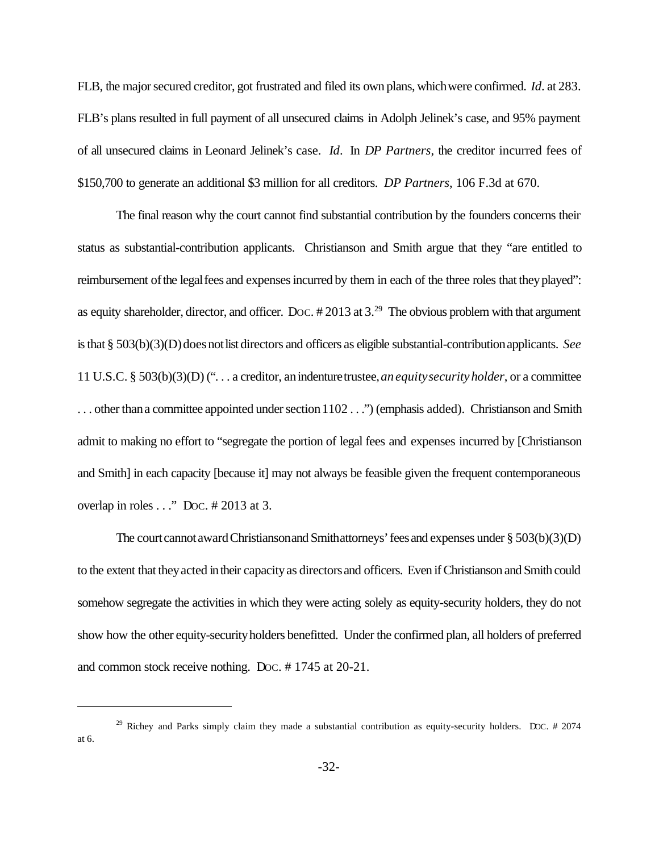FLB, the major secured creditor, got frustrated and filed its own plans, which were confirmed. *Id.* at 283. FLB's plans resulted in full payment of all unsecured claims in Adolph Jelinek's case, and 95% payment of all unsecured claims in Leonard Jelinek's case. *Id*. In *DP Partners*, the creditor incurred fees of \$150,700 to generate an additional \$3 million for all creditors. *DP Partners*, 106 F.3d at 670.

The final reason why the court cannot find substantial contribution by the founders concerns their status as substantial-contribution applicants. Christianson and Smith argue that they "are entitled to reimbursement of the legal fees and expenses incurred by them in each of the three roles that they played": as equity shareholder, director, and officer. DOC. # 2013 at 3.<sup>29</sup> The obvious problem with that argument isthat § 503(b)(3)(D)doesnotlist directors and officers as eligible substantial-contributionapplicants. *See* 11 U.S.C. § 503(b)(3)(D) (". . . a creditor, anindenturetrustee,*anequitysecurity holder*, or a committee ... other than a committee appointed under section 1102 . . .") (emphasis added). Christianson and Smith admit to making no effort to "segregate the portion of legal fees and expenses incurred by [Christianson and Smith] in each capacity [because it] may not always be feasible given the frequent contemporaneous overlap in roles . . ." DOC. # 2013 at 3.

The court cannot award Christianson and Smithattorneys' fees and expenses under  $\S 503(b)(3)(D)$ to the extent that theyacted intheir capacityas directorsand officers. Even if Christianson and Smith could somehow segregate the activities in which they were acting solely as equity-security holders, they do not show how the other equity-securityholders benefitted. Under the confirmed plan, all holders of preferred and common stock receive nothing. DOC. # 1745 at 20-21.

 $29$  Richey and Parks simply claim they made a substantial contribution as equity-security holders. Doc. # 2074 at 6.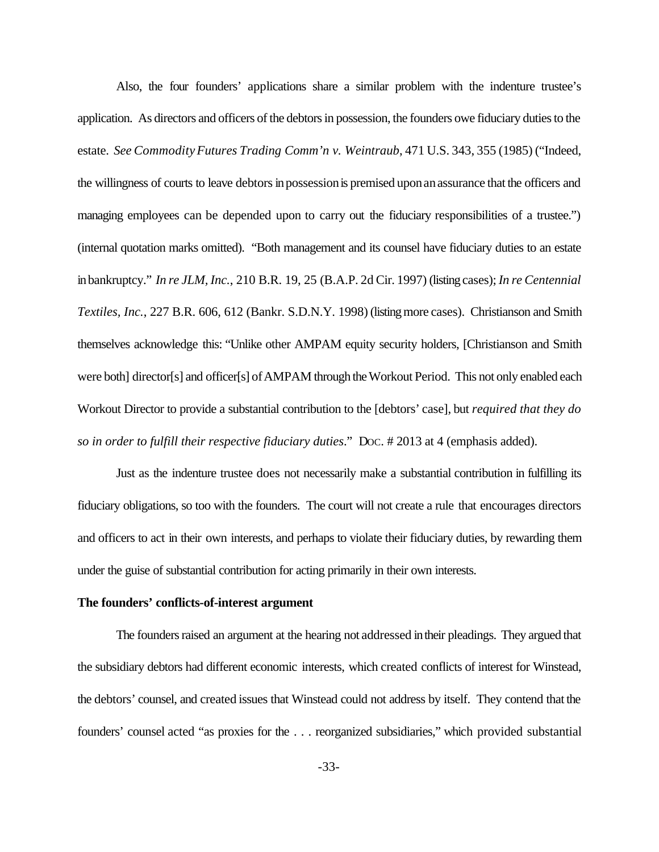Also, the four founders' applications share a similar problem with the indenture trustee's application. As directors and officers of the debtors in possession, the founders owe fiduciary duties to the estate. *See CommodityFutures Trading Comm'n v. Weintraub*, 471 U.S. 343, 355 (1985) ("Indeed, the willingness of courts to leave debtors in possession is premised upon an assurance that the officers and managing employees can be depended upon to carry out the fiduciary responsibilities of a trustee.") (internal quotation marks omitted). "Both management and its counsel have fiduciary duties to an estate inbankruptcy." *In re JLM, Inc.*, 210 B.R. 19, 25 (B.A.P. 2d Cir. 1997) (listing cases); *In re Centennial Textiles, Inc.*, 227 B.R. 606, 612 (Bankr. S.D.N.Y. 1998) (listingmore cases). Christianson and Smith themselves acknowledge this: "Unlike other AMPAM equity security holders, [Christianson and Smith were both] director[s] and officer[s] of AMPAM through the Workout Period. This not only enabled each Workout Director to provide a substantial contribution to the [debtors' case], but *required that they do so in order to fulfill their respective fiduciary duties*." DOC. # 2013 at 4 (emphasis added).

Just as the indenture trustee does not necessarily make a substantial contribution in fulfilling its fiduciary obligations, so too with the founders. The court will not create a rule that encourages directors and officers to act in their own interests, and perhaps to violate their fiduciary duties, by rewarding them under the guise of substantial contribution for acting primarily in their own interests.

## **The founders' conflicts-of-interest argument**

The founders raised an argument at the hearing not addressed in their pleadings. They argued that the subsidiary debtors had different economic interests, which created conflicts of interest for Winstead, the debtors' counsel, and created issues that Winstead could not address by itself. They contend that the founders' counsel acted "as proxies for the . . . reorganized subsidiaries," which provided substantial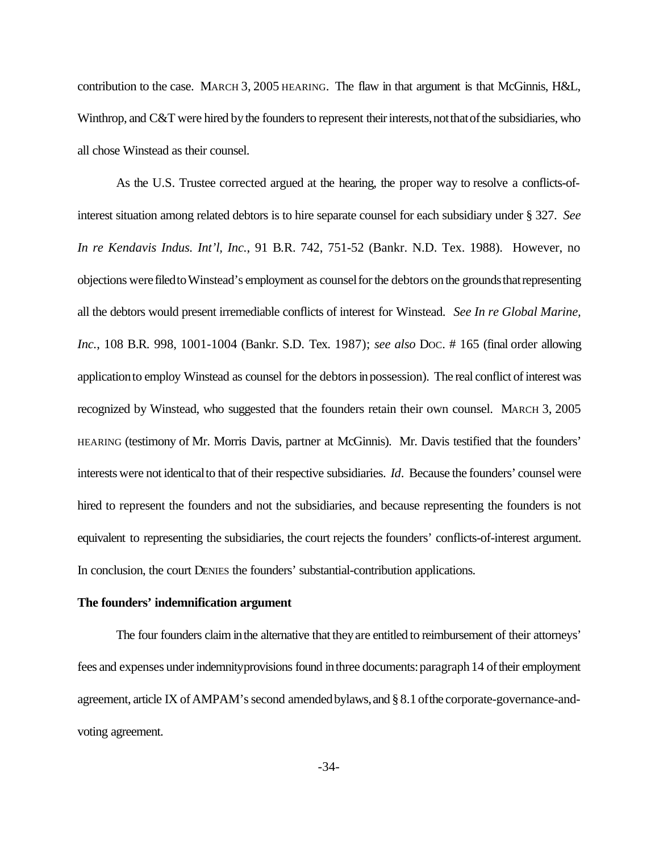contribution to the case. MARCH 3, 2005 HEARING. The flaw in that argument is that McGinnis, H&L, Winthrop, and C&T were hired by the founders to represent their interests, not that of the subsidiaries, who all chose Winstead as their counsel.

As the U.S. Trustee corrected argued at the hearing, the proper way to resolve a conflicts-ofinterest situation among related debtors is to hire separate counsel for each subsidiary under § 327. *See In re Kendavis Indus. Int'l, Inc.*, 91 B.R. 742, 751-52 (Bankr. N.D. Tex. 1988). However, no objections werefiledtoWinstead's employment as counselforthe debtors onthe groundsthatrepresenting all the debtors would present irremediable conflicts of interest for Winstead. *See In re Global Marine, Inc.*, 108 B.R. 998, 1001-1004 (Bankr. S.D. Tex. 1987); *see also* DOC. # 165 (final order allowing applicationto employ Winstead as counsel for the debtorsinpossession). The real conflict of interest was recognized by Winstead, who suggested that the founders retain their own counsel. MARCH 3, 2005 HEARING (testimony of Mr. Morris Davis, partner at McGinnis). Mr. Davis testified that the founders' interests were not identical to that of their respective subsidiaries. *Id*. Because the founders' counsel were hired to represent the founders and not the subsidiaries, and because representing the founders is not equivalent to representing the subsidiaries, the court rejects the founders' conflicts-of-interest argument. In conclusion, the court DENIES the founders' substantial-contribution applications.

## **The founders' indemnification argument**

The four founders claim in the alternative that they are entitled to reimbursement of their attorneys' fees and expenses under indemnity provisions found in three documents: paragraph 14 of their employment agreement, article IX of AMPAM's second amended bylaws, and §8.1 of the corporate-governance-andvoting agreement.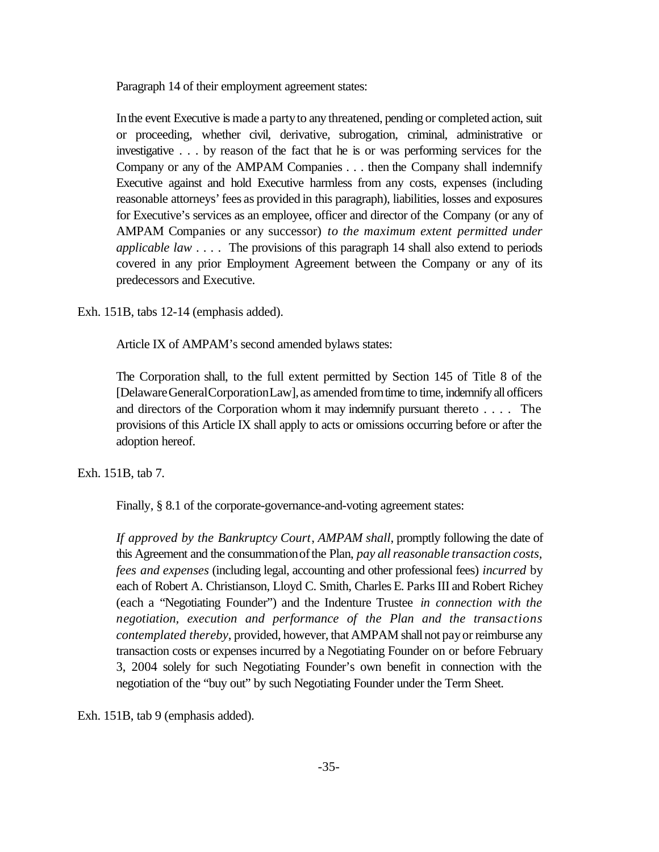Paragraph 14 of their employment agreement states:

In the event Executive is made a party to any threatened, pending or completed action, suit or proceeding, whether civil, derivative, subrogation, criminal, administrative or investigative . . . by reason of the fact that he is or was performing services for the Company or any of the AMPAM Companies . . . then the Company shall indemnify Executive against and hold Executive harmless from any costs, expenses (including reasonable attorneys'fees as provided in this paragraph), liabilities, losses and exposures for Executive's services as an employee, officer and director of the Company (or any of AMPAM Companies or any successor) *to the maximum extent permitted under applicable law* . . . . The provisions of this paragraph 14 shall also extend to periods covered in any prior Employment Agreement between the Company or any of its predecessors and Executive.

Exh. 151B, tabs 12-14 (emphasis added).

Article IX of AMPAM's second amended bylaws states:

The Corporation shall, to the full extent permitted by Section 145 of Title 8 of the [Delaware General Corporation Law], as amended from time to time, indemnify all officers and directors of the Corporation whom it may indemnify pursuant thereto . . . . The provisions of this Article IX shall apply to acts or omissions occurring before or after the adoption hereof.

Exh. 151B, tab 7.

Finally, § 8.1 of the corporate-governance-and-voting agreement states:

*If approved by the Bankruptcy Court*, *AMPAM shall*, promptly following the date of this Agreement and the consummationofthe Plan, *pay allreasonable transaction costs, fees and expenses* (including legal, accounting and other professional fees) *incurred* by each of Robert A. Christianson, Lloyd C. Smith, Charles E. Parks III and Robert Richey (each a "Negotiating Founder") and the Indenture Trustee *in connection with the negotiation, execution and performance of the Plan and the transactions contemplated thereby*, provided, however, that AMPAM shall not payor reimburse any transaction costs or expenses incurred by a Negotiating Founder on or before February 3, 2004 solely for such Negotiating Founder's own benefit in connection with the negotiation of the "buy out" by such Negotiating Founder under the Term Sheet.

Exh. 151B, tab 9 (emphasis added).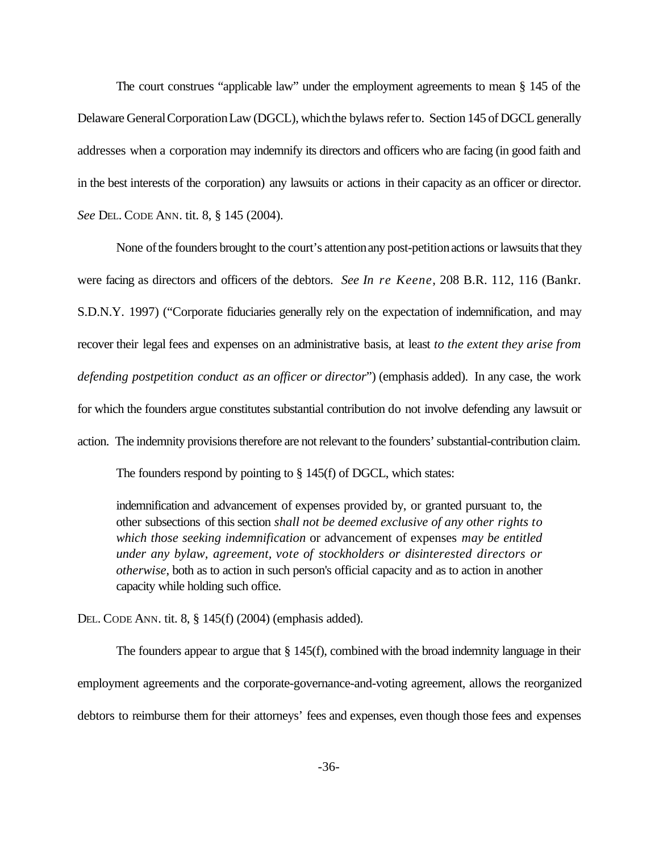The court construes "applicable law" under the employment agreements to mean § 145 of the Delaware General Corporation Law (DGCL), which the bylaws refer to. Section 145 of DGCL generally addresses when a corporation may indemnify its directors and officers who are facing (in good faith and in the best interests of the corporation) any lawsuits or actions in their capacity as an officer or director. *See* DEL. CODE ANN. tit. 8, § 145 (2004).

None of the founders brought to the court's attention any post-petition actions or lawsuits that they were facing as directors and officers of the debtors. *See In re Keene*, 208 B.R. 112, 116 (Bankr. S.D.N.Y. 1997) ("Corporate fiduciaries generally rely on the expectation of indemnification, and may recover their legal fees and expenses on an administrative basis, at least *to the extent they arise from defending postpetition conduct as an officer or director*") (emphasis added). In any case, the work for which the founders argue constitutes substantial contribution do not involve defending any lawsuit or action. The indemnity provisions therefore are not relevant to the founders' substantial-contribution claim.

The founders respond by pointing to § 145(f) of DGCL, which states:

indemnification and advancement of expenses provided by, or granted pursuant to, the other subsections of this section *shall not be deemed exclusive of any other rights to which those seeking indemnification* or advancement of expenses *may be entitled under any bylaw, agreement, vote of stockholders or disinterested directors or otherwise*, both as to action in such person's official capacity and as to action in another capacity while holding such office.

DEL. CODE ANN. tit. 8, § 145(f) (2004) (emphasis added).

The founders appear to argue that  $\S 145(f)$ , combined with the broad indemnity language in their employment agreements and the corporate-governance-and-voting agreement, allows the reorganized debtors to reimburse them for their attorneys' fees and expenses, even though those fees and expenses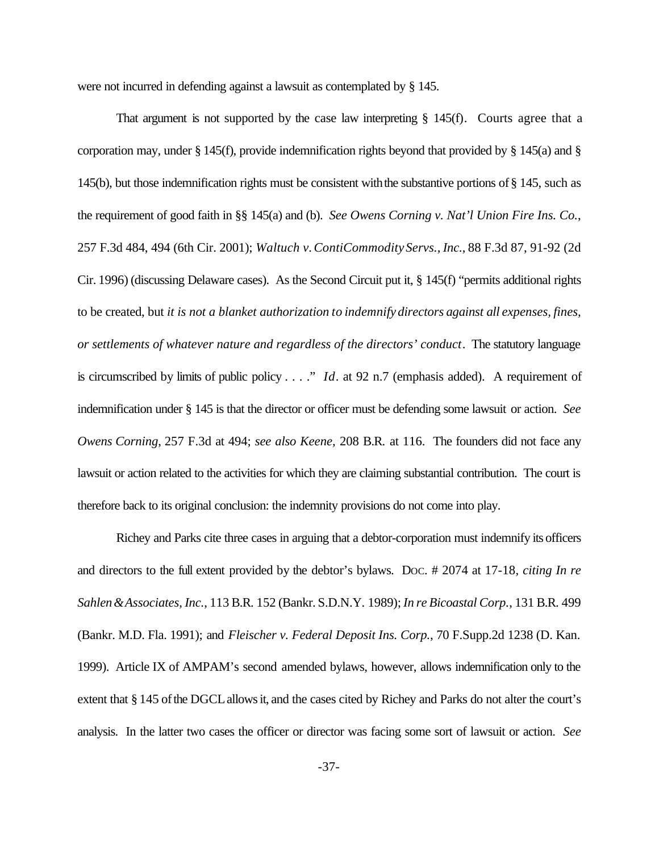were not incurred in defending against a lawsuit as contemplated by § 145.

That argument is not supported by the case law interpreting  $\S$  145(f). Courts agree that a corporation may, under § 145(f), provide indemnification rights beyond that provided by § 145(a) and § 145(b), but those indemnification rights must be consistent withthe substantive portions of§ 145, such as the requirement of good faith in §§ 145(a) and (b). *See Owens Corning v. Nat'l Union Fire Ins. Co.*, 257 F.3d 484, 494 (6th Cir. 2001); *Waltuch v.ContiCommodity Servs., Inc.*, 88 F.3d 87, 91-92 (2d Cir. 1996) (discussing Delaware cases). As the Second Circuit put it, § 145(f) "permits additional rights to be created, but *it is not a blanket authorization to indemnify directors against all expenses, fines, or settlements of whatever nature and regardless of the directors' conduct*. The statutory language is circumscribed by limits of public policy . . . ." *Id*. at 92 n.7 (emphasis added). A requirement of indemnification under § 145 is that the director or officer must be defending some lawsuit or action. *See Owens Corning*, 257 F.3d at 494; *see also Keene*, 208 B.R. at 116. The founders did not face any lawsuit or action related to the activities for which they are claiming substantial contribution. The court is therefore back to its original conclusion: the indemnity provisions do not come into play.

Richey and Parks cite three cases in arguing that a debtor-corporation must indemnify its officers and directors to the full extent provided by the debtor's bylaws. DOC. # 2074 at 17-18, *citing In re Sahlen&Associates, Inc.*, 113 B.R. 152 (Bankr. S.D.N.Y. 1989); *In re Bicoastal Corp.*, 131 B.R. 499 (Bankr. M.D. Fla. 1991); and *Fleischer v. Federal Deposit Ins. Corp.*, 70 F.Supp.2d 1238 (D. Kan. 1999). Article IX of AMPAM's second amended bylaws, however, allows indemnification only to the extent that § 145 of the DGCL allows it, and the cases cited by Richey and Parks do not alter the court's analysis. In the latter two cases the officer or director was facing some sort of lawsuit or action. *See*